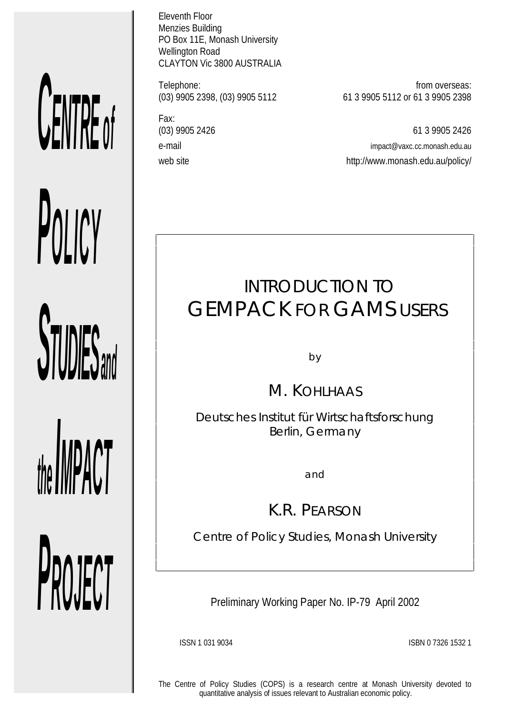# *CENTRE o f*

*STUDIES* 

*POLICY*

*the IMPACT*

*PROJECT*

Eleventh Floor Menzies Building PO Box 11E, Monash University Wellington Road CLAYTON Vic 3800 AUSTRALIA

Fax:

Telephone: from overseas:<br>(03) 9905 2398, (03) 9905 5112 61 3 9905 5112 or 61 3 9905 2398 (03) 9905 2398, (03) 9905 5112 61 3 9905 5112 or 61 3 9905 2398

(03) 9905 2426 61 3 9905 2426 e-mail impact@vaxc.cc.monash.edu.au web site web site http://www.monash.edu.au/policy/

# INTRODUCTION TO GEMPACK FOR GAMS USERS

by

M. KOHLHAAS

*Deutsches Institut für Wirtschaftsforschung Berlin, Germany*

and

K.R. PEARSON

*Centre of Policy Studies, Monash University*

Preliminary Working Paper No. IP-79 April 2002

ISSN 1 031 9034 ISBN 0 7326 1532 1

The Centre of Policy Studies (COPS) is a research centre at Monash University devoted to quantitative analysis of issues relevant to Australian economic policy.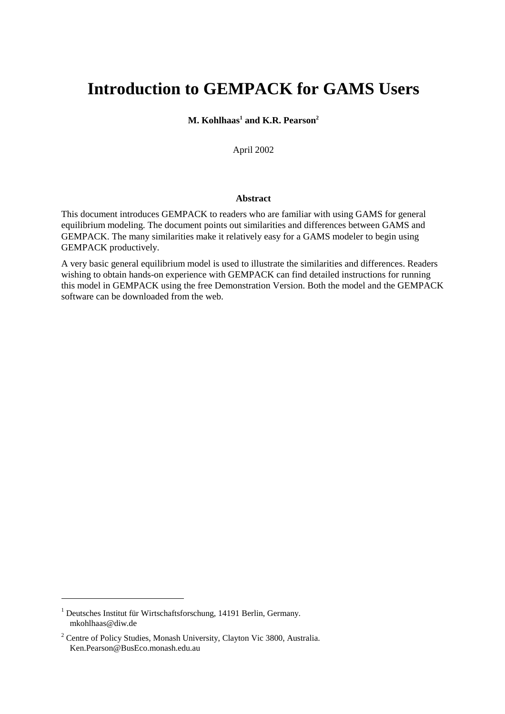# **Introduction to GEMPACK for GAMS Users**

**M. Kohlhaas<sup>1</sup> and K.R. Pearson<sup>2</sup>** 

April 2002

#### **Abstract**

This document introduces GEMPACK to readers who are familiar with using GAMS for general equilibrium modeling. The document points out similarities and differences between GAMS and GEMPACK. The many similarities make it relatively easy for a GAMS modeler to begin using GEMPACK productively.

A very basic general equilibrium model is used to illustrate the similarities and differences. Readers wishing to obtain hands-on experience with GEMPACK can find detailed instructions for running this model in GEMPACK using the free Demonstration Version. Both the model and the GEMPACK software can be downloaded from the web.

 $\overline{a}$ 

<sup>&</sup>lt;sup>1</sup> Deutsches Institut für Wirtschaftsforschung, 14191 Berlin, Germany. mkohlhaas@diw.de

<sup>&</sup>lt;sup>2</sup> Centre of Policy Studies, Monash University, Clayton Vic 3800, Australia. Ken.Pearson@BusEco.monash.edu.au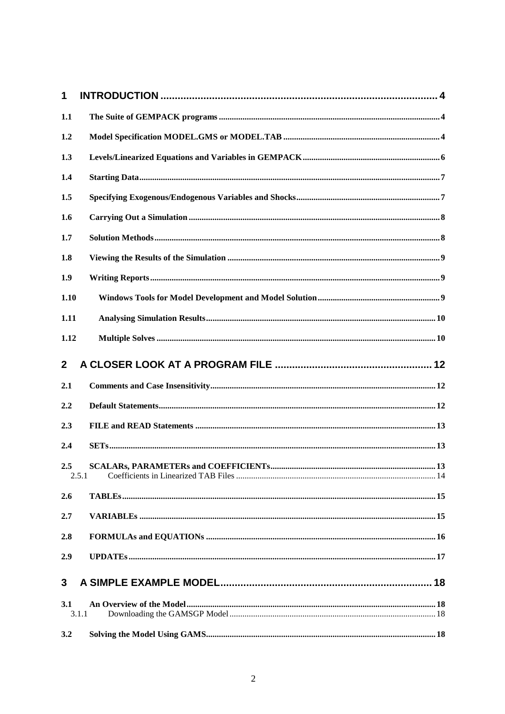| 1            |  |
|--------------|--|
| 1.1          |  |
| 1.2          |  |
| 1.3          |  |
| 1.4          |  |
| 1.5          |  |
| 1.6          |  |
| 1.7          |  |
| 1.8          |  |
| 1.9          |  |
| 1.10         |  |
| 1.11         |  |
| 1.12         |  |
| $\mathbf{2}$ |  |
| 2.1          |  |
| 2.2          |  |
|              |  |
| 2.3          |  |
| 2.4          |  |
| 2.5<br>2.5.1 |  |
| 2.6          |  |
| 2.7          |  |
| 2.8          |  |
| 2.9          |  |
|              |  |
| 3            |  |
| 3.1          |  |
| 3.1.1        |  |
| 3.2          |  |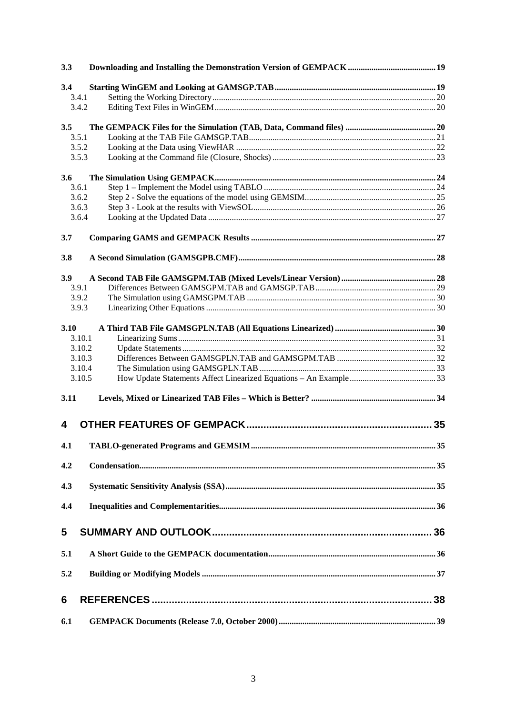| 3.3    |    |
|--------|----|
| 3.4    |    |
| 3.4.1  |    |
| 3.4.2  |    |
| 3.5    |    |
| 3.5.1  |    |
| 3.5.2  |    |
| 3.5.3  |    |
| 3.6    |    |
| 3.6.1  |    |
| 3.6.2  |    |
| 3.6.3  |    |
| 3.6.4  |    |
| 3.7    |    |
| 3.8    |    |
| 3.9    |    |
| 3.9.1  |    |
| 3.9.2  |    |
| 3.9.3  |    |
| 3.10   |    |
| 3.10.1 |    |
| 3.10.2 |    |
| 3.10.3 |    |
| 3.10.4 |    |
| 3.10.5 |    |
| 3.11   |    |
| 4      | 35 |
| 4.1    |    |
| 4.2    |    |
|        |    |
| 4.3    |    |
| 4.4    |    |
| 5      |    |
| 5.1    |    |
|        |    |
| 5.2    |    |
| 6      |    |
| 6.1    |    |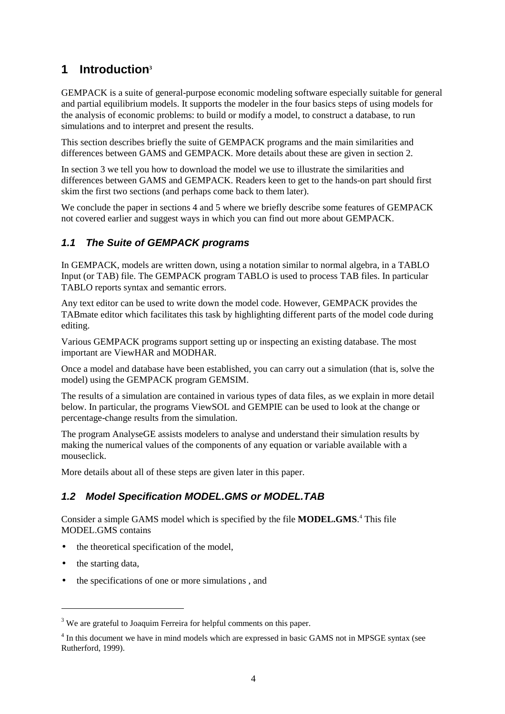# **1 Introduction<sup>3</sup>**

GEMPACK is a suite of general-purpose economic modeling software especially suitable for general and partial equilibrium models. It supports the modeler in the four basics steps of using models for the analysis of economic problems: to build or modify a model, to construct a database, to run simulations and to interpret and present the results.

This section describes briefly the suite of GEMPACK programs and the main similarities and differences between GAMS and GEMPACK. More details about these are given in section 2.

In section 3 we tell you how to download the model we use to illustrate the similarities and differences between GAMS and GEMPACK. Readers keen to get to the hands-on part should first skim the first two sections (and perhaps come back to them later).

We conclude the paper in sections 4 and 5 where we briefly describe some features of GEMPACK not covered earlier and suggest ways in which you can find out more about GEMPACK.

# **1.1 The Suite of GEMPACK programs**

In GEMPACK, models are written down, using a notation similar to normal algebra, in a TABLO Input (or TAB) file. The GEMPACK program TABLO is used to process TAB files. In particular TABLO reports syntax and semantic errors.

Any text editor can be used to write down the model code. However, GEMPACK provides the TABmate editor which facilitates this task by highlighting different parts of the model code during editing.

Various GEMPACK programs support setting up or inspecting an existing database. The most important are ViewHAR and MODHAR.

Once a model and database have been established, you can carry out a simulation (that is, solve the model) using the GEMPACK program GEMSIM.

The results of a simulation are contained in various types of data files, as we explain in more detail below. In particular, the programs ViewSOL and GEMPIE can be used to look at the change or percentage-change results from the simulation.

The program AnalyseGE assists modelers to analyse and understand their simulation results by making the numerical values of the components of any equation or variable available with a mouseclick.

More details about all of these steps are given later in this paper.

# **1.2 Model Specification MODEL.GMS or MODEL.TAB**

Consider a simple GAMS model which is specified by the file **MODEL.GMS**. 4 This file MODEL.GMS contains

- the theoretical specification of the model.
- the starting data,

 $\overline{a}$ 

• the specifications of one or more simulations, and

<sup>&</sup>lt;sup>3</sup> We are grateful to Joaquim Ferreira for helpful comments on this paper.

<sup>&</sup>lt;sup>4</sup> In this document we have in mind models which are expressed in basic GAMS not in MPSGE syntax (see Rutherford, 1999).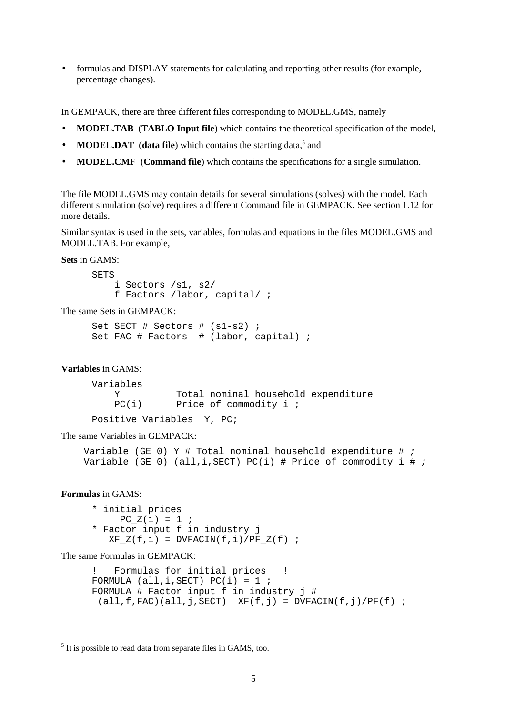• formulas and DISPLAY statements for calculating and reporting other results (for example, percentage changes).

In GEMPACK, there are three different files corresponding to MODEL.GMS, namely

- **MODEL.TAB** (**TABLO Input file**) which contains the theoretical specification of the model,
- **MODEL.DAT** (data file) which contains the starting data,<sup>5</sup> and
- **MODEL.CMF** (**Command file**) which contains the specifications for a single simulation.

The file MODEL.GMS may contain details for several simulations (solves) with the model. Each different simulation (solve) requires a different Command file in GEMPACK. See section 1.12 for more details.

Similar syntax is used in the sets, variables, formulas and equations in the files MODEL.GMS and MODEL.TAB. For example,

**Sets** in GAMS:

```
SETS
     i Sectors /s1, s2/
     f Factors /labor, capital/ ;
```
The same Sets in GEMPACK:

```
Set SECT # Sectors # (s1-s2) ;
Set FAC # Factors # (labor, capital) ;
```
#### **Variables** in GAMS:

Variables Y Total nominal household expenditure<br>PC(i) Price of commodity i ; Price of commodity  $i$  ;

Positive Variables Y, PC;

The same Variables in GEMPACK:

```
Variable (GE 0) Y # Total nominal household expenditure # ;
Variable (GE 0) (all, i, SECT) PC(i) # Price of commodity i # ;
```
#### **Formulas** in GAMS:

 $\overline{a}$ 

\* initial prices  $PC_Z(i) = 1$  ; \* Factor input f in industry j  $XF_Z(f,i) = DVFACIN(f,i)/PF_Z(f)$  ;

The same Formulas in GEMPACK:

```
Formulas for initial prices !
FORMULA (all,i,SECT) PC(i) = 1;
FORMULA # Factor input f in industry j #
 (all, f, FAC)(all, j, SECT) XF(f, j) = DVFACIN(f, j) / PF(f);
```
<sup>&</sup>lt;sup>5</sup> It is possible to read data from separate files in GAMS, too.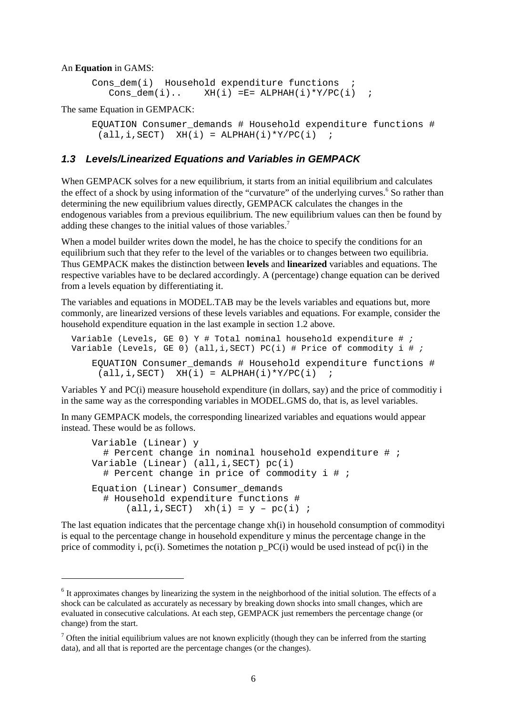#### An **Equation** in GAMS:

 $\overline{a}$ 

```
Cons dem(i) Household expenditure functions ;
  Cons dem(i).. XH(i) =E= ALPHAH(i)*Y/PC(i) ;
```
The same Equation in GEMPACK:

```
EQUATION Consumer_demands # Household expenditure functions #
 (\text{all}, i, \text{SECTION}) (\text{H}(i) = \text{ALPHAH}(i) * \text{Y/PC}(i) ;
```
#### **1.3 Levels/Linearized Equations and Variables in GEMPACK**

When GEMPACK solves for a new equilibrium, it starts from an initial equilibrium and calculates the effect of a shock by using information of the "curvature" of the underlying curves.<sup>6</sup> So rather than determining the new equilibrium values directly, GEMPACK calculates the changes in the endogenous variables from a previous equilibrium. The new equilibrium values can then be found by adding these changes to the initial values of those variables.<sup>7</sup>

When a model builder writes down the model, he has the choice to specify the conditions for an equilibrium such that they refer to the level of the variables or to changes between two equilibria. Thus GEMPACK makes the distinction between **levels** and **linearized** variables and equations. The respective variables have to be declared accordingly. A (percentage) change equation can be derived from a levels equation by differentiating it.

The variables and equations in MODEL.TAB may be the levels variables and equations but, more commonly, are linearized versions of these levels variables and equations. For example, consider the household expenditure equation in the last example in section 1.2 above.

```
Variable (Levels, GE 0) Y # Total nominal household expenditure # ;
Variable (Levels, GE 0) (all, i, SECT) PC(i) # Price of commodity i # ;
    EQUATION Consumer_demands # Household expenditure functions #
      (\text{all}, i, \text{SECTION}) (\text{H}(i)) = \text{ALPHAH}(i) * \text{Y/PC}(i)
```
Variables Y and PC(i) measure household expenditure (in dollars, say) and the price of commoditiy i in the same way as the corresponding variables in MODEL.GMS do, that is, as level variables.

In many GEMPACK models, the corresponding linearized variables and equations would appear instead. These would be as follows.

```
Variable (Linear) y
  # Percent change in nominal household expenditure # ;
Variable (Linear) (all,i,SECT) pc(i)
   # Percent change in price of commodity i # ;
Equation (Linear) Consumer_demands
   # Household expenditure functions #
      (\text{all}, i, \text{SECTION}) xh(i) = y - pc(i);
```
The last equation indicates that the percentage change xh(i) in household consumption of commodityi is equal to the percentage change in household expenditure y minus the percentage change in the price of commodity i, pc(i). Sometimes the notation p\_PC(i) would be used instead of pc(i) in the

<sup>&</sup>lt;sup>6</sup> It approximates changes by linearizing the system in the neighborhood of the initial solution. The effects of a shock can be calculated as accurately as necessary by breaking down shocks into small changes, which are evaluated in consecutive calculations. At each step, GEMPACK just remembers the percentage change (or change) from the start.

 $<sup>7</sup>$  Often the initial equilibrium values are not known explicitly (though they can be inferred from the starting</sup> data), and all that is reported are the percentage changes (or the changes).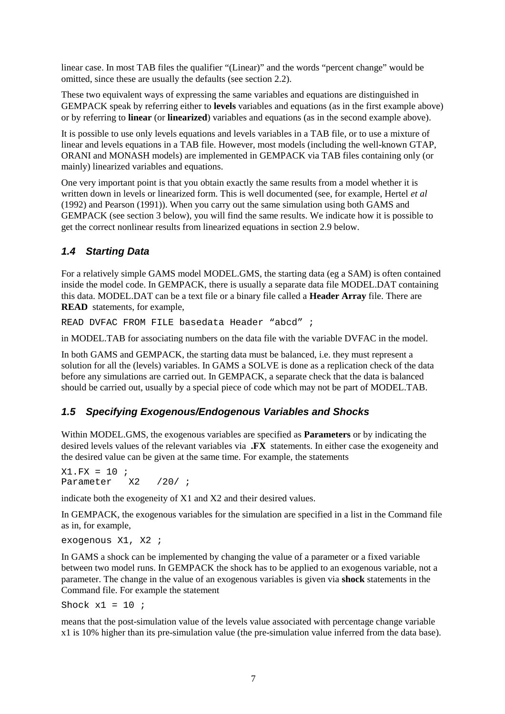linear case. In most TAB files the qualifier "(Linear)" and the words "percent change" would be omitted, since these are usually the defaults (see section 2.2).

These two equivalent ways of expressing the same variables and equations are distinguished in GEMPACK speak by referring either to **levels** variables and equations (as in the first example above) or by referring to **linear** (or **linearized**) variables and equations (as in the second example above).

It is possible to use only levels equations and levels variables in a TAB file, or to use a mixture of linear and levels equations in a TAB file. However, most models (including the well-known GTAP, ORANI and MONASH models) are implemented in GEMPACK via TAB files containing only (or mainly) linearized variables and equations.

One very important point is that you obtain exactly the same results from a model whether it is written down in levels or linearized form. This is well documented (see, for example, Hertel *et al* (1992) and Pearson (1991)). When you carry out the same simulation using both GAMS and GEMPACK (see section 3 below), you will find the same results. We indicate how it is possible to get the correct nonlinear results from linearized equations in section 2.9 below.

# **1.4 Starting Data**

For a relatively simple GAMS model MODEL.GMS, the starting data (eg a SAM) is often contained inside the model code. In GEMPACK, there is usually a separate data file MODEL.DAT containing this data. MODEL.DAT can be a text file or a binary file called a **Header Array** file. There are **READ** statements, for example,

READ DVFAC FROM FILE basedata Header "abcd" ;

in MODEL.TAB for associating numbers on the data file with the variable DVFAC in the model.

In both GAMS and GEMPACK, the starting data must be balanced, i.e. they must represent a solution for all the (levels) variables. In GAMS a SOLVE is done as a replication check of the data before any simulations are carried out. In GEMPACK, a separate check that the data is balanced should be carried out, usually by a special piece of code which may not be part of MODEL.TAB.

# **1.5 Specifying Exogenous/Endogenous Variables and Shocks**

Within MODEL.GMS, the exogenous variables are specified as **Parameters** or by indicating the desired levels values of the relevant variables via **.FX** statements. In either case the exogeneity and the desired value can be given at the same time. For example, the statements

 $X1.FX = 10$  ;<br>Parameter  $X2$ Parameter X2 /20/ *i* 

indicate both the exogeneity of X1 and X2 and their desired values.

In GEMPACK, the exogenous variables for the simulation are specified in a list in the Command file as in, for example,

exogenous X1, X2 ;

In GAMS a shock can be implemented by changing the value of a parameter or a fixed variable between two model runs. In GEMPACK the shock has to be applied to an exogenous variable, not a parameter. The change in the value of an exogenous variables is given via **shock** statements in the Command file. For example the statement

Shock  $x1 = 10$  ;

means that the post-simulation value of the levels value associated with percentage change variable x1 is 10% higher than its pre-simulation value (the pre-simulation value inferred from the data base).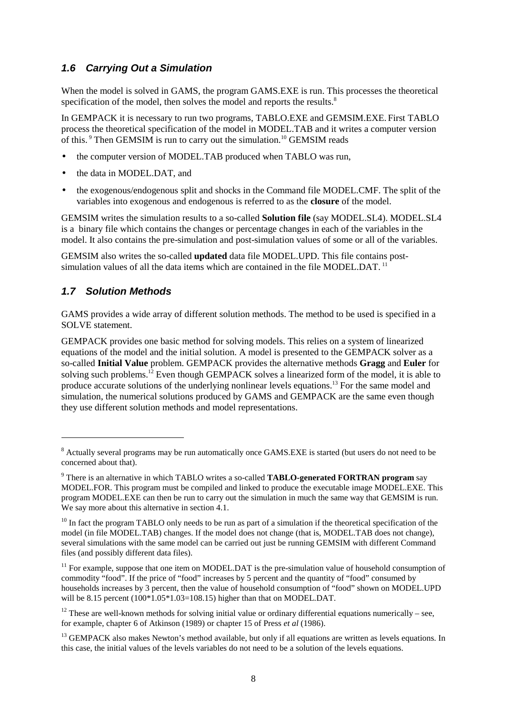# **1.6 Carrying Out a Simulation**

When the model is solved in GAMS, the program GAMS. EXE is run. This processes the theoretical specification of the model, then solves the model and reports the results.<sup>8</sup>

In GEMPACK it is necessary to run two programs, TABLO.EXE and GEMSIM.EXE. First TABLO process the theoretical specification of the model in MODEL.TAB and it writes a computer version of this.<sup>9</sup> Then GEMSIM is run to carry out the simulation.<sup>10</sup> GEMSIM reads

- the computer version of MODEL.TAB produced when TABLO was run,
- the data in MODEL.DAT, and
- the exogenous/endogenous split and shocks in the Command file MODEL.CMF. The split of the variables into exogenous and endogenous is referred to as the **closure** of the model.

GEMSIM writes the simulation results to a so-called **Solution file** (say MODEL.SL4). MODEL.SL4 is a binary file which contains the changes or percentage changes in each of the variables in the model. It also contains the pre-simulation and post-simulation values of some or all of the variables.

GEMSIM also writes the so-called **updated** data file MODEL.UPD. This file contains postsimulation values of all the data items which are contained in the file MODEL.DAT.<sup>11</sup>

# **1.7 Solution Methods**

 $\overline{a}$ 

GAMS provides a wide array of different solution methods. The method to be used is specified in a SOLVE statement.

GEMPACK provides one basic method for solving models. This relies on a system of linearized equations of the model and the initial solution. A model is presented to the GEMPACK solver as a so-called **Initial Value** problem. GEMPACK provides the alternative methods **Gragg** and **Euler** for solving such problems.<sup>12</sup> Even though GEMPACK solves a linearized form of the model, it is able to produce accurate solutions of the underlying nonlinear levels equations.<sup>13</sup> For the same model and simulation, the numerical solutions produced by GAMS and GEMPACK are the same even though they use different solution methods and model representations.

<sup>&</sup>lt;sup>8</sup> Actually several programs may be run automatically once GAMS.EXE is started (but users do not need to be concerned about that).

<sup>9</sup> There is an alternative in which TABLO writes a so-called **TABLO-generated FORTRAN program** say MODEL.FOR. This program must be compiled and linked to produce the executable image MODEL.EXE. This program MODEL.EXE can then be run to carry out the simulation in much the same way that GEMSIM is run. We say more about this alternative in section 4.1.

 $10$  In fact the program TABLO only needs to be run as part of a simulation if the theoretical specification of the model (in file MODEL.TAB) changes. If the model does not change (that is, MODEL.TAB does not change), several simulations with the same model can be carried out just be running GEMSIM with different Command files (and possibly different data files).

 $11$  For example, suppose that one item on MODEL.DAT is the pre-simulation value of household consumption of commodity "food". If the price of "food" increases by 5 percent and the quantity of "food" consumed by households increases by 3 percent, then the value of household consumption of "food" shown on MODEL.UPD will be 8.15 percent  $(100*1.05*1.03=108.15)$  higher than that on MODEL.DAT.

<sup>&</sup>lt;sup>12</sup> These are well-known methods for solving initial value or ordinary differential equations numerically – see, for example, chapter 6 of Atkinson (1989) or chapter 15 of Press *et al* (1986).

<sup>&</sup>lt;sup>13</sup> GEMPACK also makes Newton's method available, but only if all equations are written as levels equations. In this case, the initial values of the levels variables do not need to be a solution of the levels equations.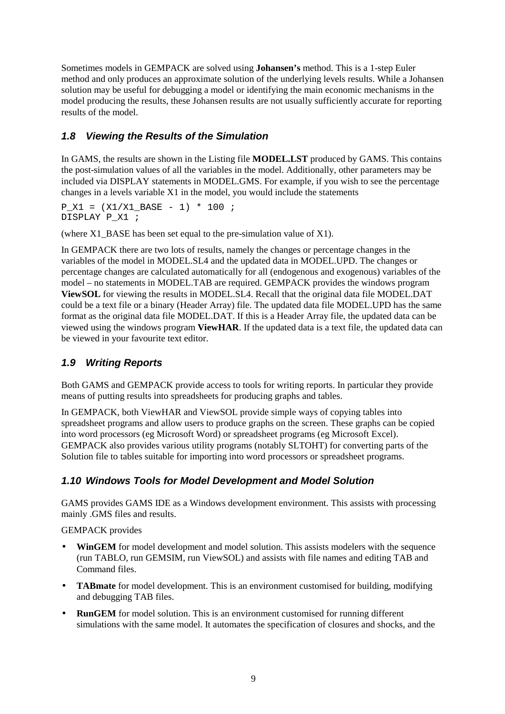Sometimes models in GEMPACK are solved using **Johansen's** method. This is a 1-step Euler method and only produces an approximate solution of the underlying levels results. While a Johansen solution may be useful for debugging a model or identifying the main economic mechanisms in the model producing the results, these Johansen results are not usually sufficiently accurate for reporting results of the model.

# **1.8 Viewing the Results of the Simulation**

In GAMS, the results are shown in the Listing file **MODEL.LST** produced by GAMS. This contains the post-simulation values of all the variables in the model. Additionally, other parameters may be included via DISPLAY statements in MODEL.GMS. For example, if you wish to see the percentage changes in a levels variable X1 in the model, you would include the statements

 $P X1 = (X1/X1 BASE - 1) * 100$  ; DISPLAY P\_X1 ;

(where X1\_BASE has been set equal to the pre-simulation value of X1).

In GEMPACK there are two lots of results, namely the changes or percentage changes in the variables of the model in MODEL.SL4 and the updated data in MODEL.UPD. The changes or percentage changes are calculated automatically for all (endogenous and exogenous) variables of the model – no statements in MODEL.TAB are required. GEMPACK provides the windows program **ViewSOL** for viewing the results in MODEL.SL4. Recall that the original data file MODEL.DAT could be a text file or a binary (Header Array) file. The updated data file MODEL.UPD has the same format as the original data file MODEL.DAT. If this is a Header Array file, the updated data can be viewed using the windows program **ViewHAR**. If the updated data is a text file, the updated data can be viewed in your favourite text editor.

# **1.9 Writing Reports**

Both GAMS and GEMPACK provide access to tools for writing reports. In particular they provide means of putting results into spreadsheets for producing graphs and tables.

In GEMPACK, both ViewHAR and ViewSOL provide simple ways of copying tables into spreadsheet programs and allow users to produce graphs on the screen. These graphs can be copied into word processors (eg Microsoft Word) or spreadsheet programs (eg Microsoft Excel). GEMPACK also provides various utility programs (notably SLTOHT) for converting parts of the Solution file to tables suitable for importing into word processors or spreadsheet programs.

# **1.10 Windows Tools for Model Development and Model Solution**

GAMS provides GAMS IDE as a Windows development environment. This assists with processing mainly .GMS files and results.

#### GEMPACK provides

- **WinGEM** for model development and model solution. This assists modelers with the sequence (run TABLO, run GEMSIM, run ViewSOL) and assists with file names and editing TAB and Command files.
- **TABmate** for model development. This is an environment customised for building, modifying and debugging TAB files.
- **RunGEM** for model solution. This is an environment customised for running different simulations with the same model. It automates the specification of closures and shocks, and the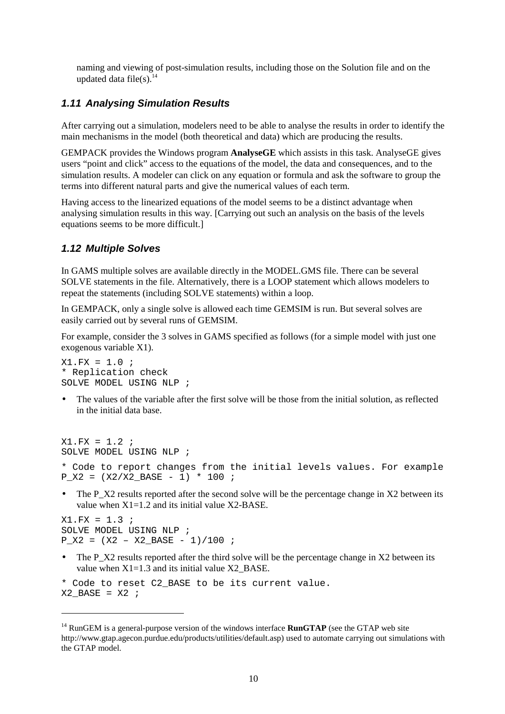naming and viewing of post-simulation results, including those on the Solution file and on the updated data file(s). $^{14}$ 

#### **1.11 Analysing Simulation Results**

After carrying out a simulation, modelers need to be able to analyse the results in order to identify the main mechanisms in the model (both theoretical and data) which are producing the results.

GEMPACK provides the Windows program **AnalyseGE** which assists in this task. AnalyseGE gives users "point and click" access to the equations of the model, the data and consequences, and to the simulation results. A modeler can click on any equation or formula and ask the software to group the terms into different natural parts and give the numerical values of each term.

Having access to the linearized equations of the model seems to be a distinct advantage when analysing simulation results in this way. [Carrying out such an analysis on the basis of the levels equations seems to be more difficult.]

#### **1.12 Multiple Solves**

In GAMS multiple solves are available directly in the MODEL.GMS file. There can be several SOLVE statements in the file. Alternatively, there is a LOOP statement which allows modelers to repeat the statements (including SOLVE statements) within a loop.

In GEMPACK, only a single solve is allowed each time GEMSIM is run. But several solves are easily carried out by several runs of GEMSIM.

For example, consider the 3 solves in GAMS specified as follows (for a simple model with just one exogenous variable X1).

X1.FX = 1.0 ; \* Replication check SOLVE MODEL USING NLP ;

• The values of the variable after the first solve will be those from the initial solution, as reflected in the initial data base.

```
X1.FX = 1.2 ;
SOLVE MODEL USING NLP ;
* Code to report changes from the initial levels values. For example
P_X2 = (X2/X2_BASE - 1) * 100;
```
The P\_X2 results reported after the second solve will be the percentage change in X2 between its value when  $X1=1.2$  and its initial value  $X2-BASE$ .

 $X1.FX = 1.3$ SOLVE MODEL USING NLP ;  $P_X2 = (X2 - X2_BASE - 1)/100$  ;

 $\overline{a}$ 

• The P\_X2 results reported after the third solve will be the percentage change in X2 between its value when  $X1=1.3$  and its initial value  $X2$  BASE.

```
* Code to reset C2_BASE to be its current value.
X2 BASE = X2 ;
```
<sup>&</sup>lt;sup>14</sup> RunGEM is a general-purpose version of the windows interface **RunGTAP** (see the GTAP web site http://www.gtap.agecon.purdue.edu/products/utilities/default.asp) used to automate carrying out simulations with the GTAP model.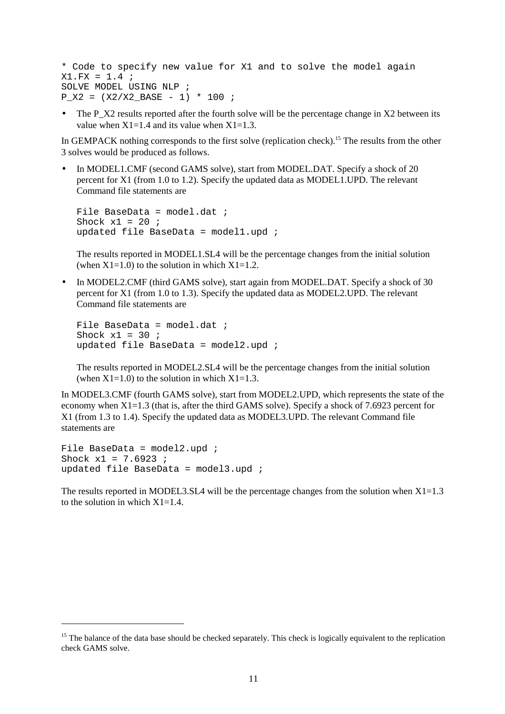```
* Code to specify new value for X1 and to solve the model again
X1.FX = 1.4SOLVE MODEL USING NLP ;
P X2 = (X2/X2 BASE - 1) * 100 ;
```
The P\_X2 results reported after the fourth solve will be the percentage change in X2 between its value when  $X1=1.4$  and its value when  $X1=1.3$ .

In GEMPACK nothing corresponds to the first solve (replication check).<sup>15</sup> The results from the other 3 solves would be produced as follows.

In MODEL1.CMF (second GAMS solve), start from MODEL.DAT. Specify a shock of 20 percent for X1 (from 1.0 to 1.2). Specify the updated data as MODEL1.UPD. The relevant Command file statements are

```
File BaseData = model.dat ;
Shock x1 = 20 ;
updated file BaseData = model1.upd ;
```
The results reported in MODEL1.SL4 will be the percentage changes from the initial solution (when  $X1=1.0$ ) to the solution in which  $X1=1.2$ .

• In MODEL2.CMF (third GAMS solve), start again from MODEL.DAT. Specify a shock of 30 percent for X1 (from 1.0 to 1.3). Specify the updated data as MODEL2.UPD. The relevant Command file statements are

```
File BaseData = model.dat ;
Shock x1 = 30 ;
updated file BaseData = model2.upd ;
```
The results reported in MODEL2.SL4 will be the percentage changes from the initial solution (when  $X1=1.0$ ) to the solution in which  $X1=1.3$ .

In MODEL3.CMF (fourth GAMS solve), start from MODEL2.UPD, which represents the state of the economy when  $X1=1.3$  (that is, after the third GAMS solve). Specify a shock of 7.6923 percent for X1 (from 1.3 to 1.4). Specify the updated data as MODEL3.UPD. The relevant Command file statements are

```
File BaseData = model2.upd ;
Shock x1 = 7.6923;
updated file BaseData = model3.upd ;
```
 $\overline{a}$ 

The results reported in MODEL3. SL4 will be the percentage changes from the solution when  $X1=1.3$ to the solution in which  $X1=1.4$ .

 $15$  The balance of the data base should be checked separately. This check is logically equivalent to the replication check GAMS solve.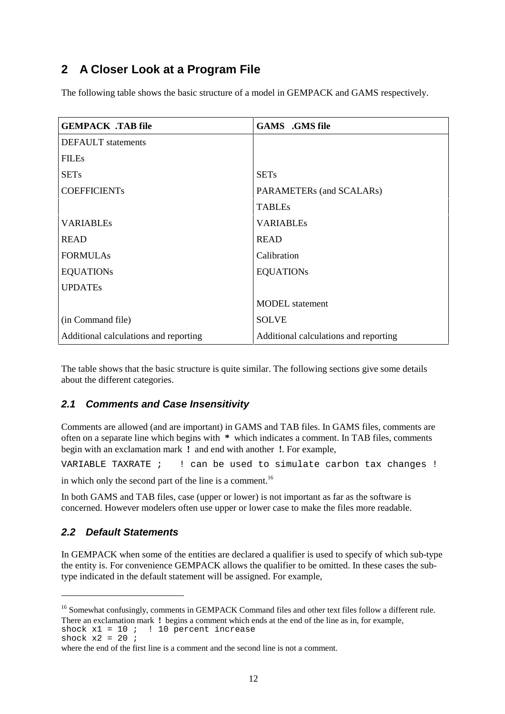# **2 A Closer Look at a Program File**

The following table shows the basic structure of a model in GEMPACK and GAMS respectively.

| <b>GEMPACK .TAB file</b>              | <b>GAMS</b> .GMS file                 |
|---------------------------------------|---------------------------------------|
| <b>DEFAULT</b> statements             |                                       |
| <b>FILEs</b>                          |                                       |
| <b>SETs</b>                           | <b>SETs</b>                           |
| <b>COEFFICIENTs</b>                   | PARAMETERs (and SCALARs)              |
|                                       | <b>TABLEs</b>                         |
| <b>VARIABLEs</b>                      | <b>VARIABLEs</b>                      |
| <b>READ</b>                           | <b>READ</b>                           |
| <b>FORMULAs</b>                       | Calibration                           |
| <b>EQUATIONs</b>                      | <b>EQUATIONs</b>                      |
| <b>UPDATEs</b>                        |                                       |
|                                       | <b>MODEL</b> statement                |
| (in Command file)                     | <b>SOLVE</b>                          |
| Additional calculations and reporting | Additional calculations and reporting |

The table shows that the basic structure is quite similar. The following sections give some details about the different categories.

# **2.1 Comments and Case Insensitivity**

Comments are allowed (and are important) in GAMS and TAB files. In GAMS files, comments are often on a separate line which begins with **\*** which indicates a comment. In TAB files, comments begin with an exclamation mark **!** and end with another **!**. For example,

VARIABLE TAXRATE ; ! can be used to simulate carbon tax changes !

in which only the second part of the line is a comment.<sup>16</sup>

In both GAMS and TAB files, case (upper or lower) is not important as far as the software is concerned. However modelers often use upper or lower case to make the files more readable.

# **2.2 Default Statements**

In GEMPACK when some of the entities are declared a qualifier is used to specify of which sub-type the entity is. For convenience GEMPACK allows the qualifier to be omitted. In these cases the subtype indicated in the default statement will be assigned. For example,

shock  $x^2 = 20$  ;

 $\overline{a}$ 

<sup>&</sup>lt;sup>16</sup> Somewhat confusingly, comments in GEMPACK Command files and other text files follow a different rule. There an exclamation mark **!** begins a comment which ends at the end of the line as in, for example, shock  $x1 = 10$  ;  $\vdots$  10 percent increase

where the end of the first line is a comment and the second line is not a comment.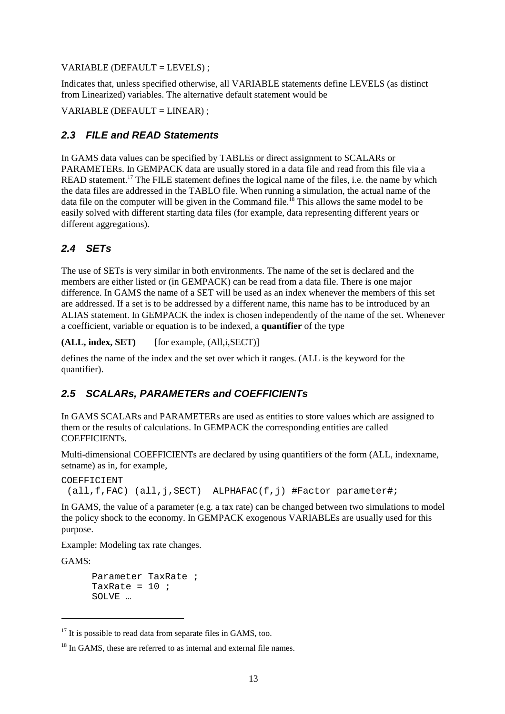VARIABLE (DEFAULT = LEVELS) ;

Indicates that, unless specified otherwise, all VARIABLE statements define LEVELS (as distinct from Linearized) variables. The alternative default statement would be

 $VARIABLE (DEFAULT = LINEAR)$ ;

# **2.3 FILE and READ Statements**

In GAMS data values can be specified by TABLEs or direct assignment to SCALARs or PARAMETERs. In GEMPACK data are usually stored in a data file and read from this file via a READ statement.<sup>17</sup> The FILE statement defines the logical name of the files, i.e. the name by which the data files are addressed in the TABLO file. When running a simulation, the actual name of the data file on the computer will be given in the Command file.<sup>18</sup> This allows the same model to be easily solved with different starting data files (for example, data representing different years or different aggregations).

# **2.4 SETs**

The use of SETs is very similar in both environments. The name of the set is declared and the members are either listed or (in GEMPACK) can be read from a data file. There is one major difference. In GAMS the name of a SET will be used as an index whenever the members of this set are addressed. If a set is to be addressed by a different name, this name has to be introduced by an ALIAS statement. In GEMPACK the index is chosen independently of the name of the set. Whenever a coefficient, variable or equation is to be indexed, a **quantifier** of the type

**(ALL, index, SET)** [for example, (All,i,SECT)]

defines the name of the index and the set over which it ranges. (ALL is the keyword for the quantifier).

# **2.5 SCALARs, PARAMETERs and COEFFICIENTs**

In GAMS SCALARs and PARAMETERs are used as entities to store values which are assigned to them or the results of calculations. In GEMPACK the corresponding entities are called COEFFICIENTs.

Multi-dimensional COEFFICIENTs are declared by using quantifiers of the form (ALL, indexname, setname) as in, for example,

```
COEFFICIENT
  (all,f,FAC) (all,j,SECT) ALPHAFAC(f,j) #Factor parameter#;
```
In GAMS, the value of a parameter (e.g. a tax rate) can be changed between two simulations to model the policy shock to the economy. In GEMPACK exogenous VARIABLEs are usually used for this purpose.

Example: Modeling tax rate changes.

GAMS:

 $\overline{a}$ 

```
Parameter TaxRate ;
TaxRate = 10 ;
SOLVE …
```
 $17$  It is possible to read data from separate files in GAMS, too.

<sup>&</sup>lt;sup>18</sup> In GAMS, these are referred to as internal and external file names.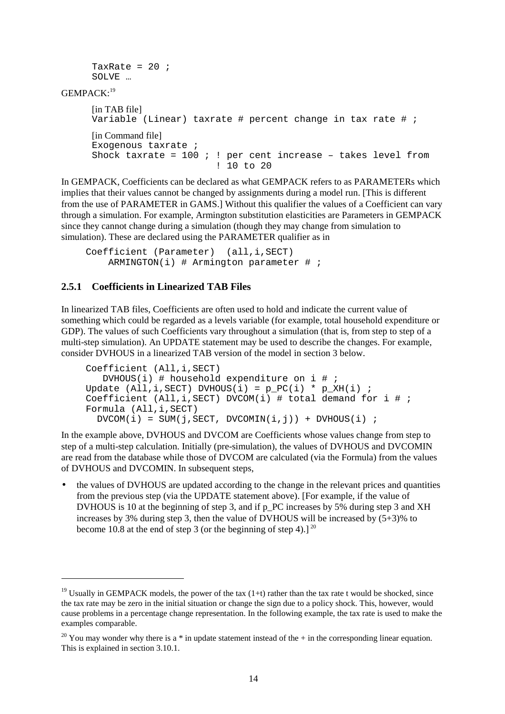```
TaxRate = 20 ;
SOLVE …
```
GEMPACK:19

 $\overline{a}$ 

```
[in TAB file]
Variable (Linear) taxrate # percent change in tax rate # ;
[in Command file]
Exogenous taxrate ;
Shock taxrate = 100 ; ! per cent increase - takes level from
                         ! 10 to 20
```
In GEMPACK, Coefficients can be declared as what GEMPACK refers to as PARAMETERs which implies that their values cannot be changed by assignments during a model run. [This is different from the use of PARAMETER in GAMS.] Without this qualifier the values of a Coefficient can vary through a simulation. For example, Armington substitution elasticities are Parameters in GEMPACK since they cannot change during a simulation (though they may change from simulation to simulation). These are declared using the PARAMETER qualifier as in

```
Coefficient (Parameter) (all,i,SECT)
    ARMINGTON(i) # Armington parameter # ;
```
# **2.5.1 Coefficients in Linearized TAB Files**

In linearized TAB files, Coefficients are often used to hold and indicate the current value of something which could be regarded as a levels variable (for example, total household expenditure or GDP). The values of such Coefficients vary throughout a simulation (that is, from step to step of a multi-step simulation). An UPDATE statement may be used to describe the changes. For example, consider DVHOUS in a linearized TAB version of the model in section 3 below.

```
Coefficient (All,i,SECT)
   DVHOUS(i) # household expenditure on i # ;
Update (All, i, SECT) DVHOUS(i) = p_PC(i) * p_XH(i) ;
Coefficient (A11, i, SECT) DVCOM(i) # total demand for i # ;
Formula (All,i,SECT)
 DVCOM(i) = SUM(j, SECT, DVCOMIN(i,j)) + DVMOUS(i);
```
In the example above, DVHOUS and DVCOM are Coefficients whose values change from step to step of a multi-step calculation. Initially (pre-simulation), the values of DVHOUS and DVCOMIN are read from the database while those of DVCOM are calculated (via the Formula) from the values of DVHOUS and DVCOMIN. In subsequent steps,

• the values of DVHOUS are updated according to the change in the relevant prices and quantities from the previous step (via the UPDATE statement above). [For example, if the value of DVHOUS is 10 at the beginning of step 3, and if p\_PC increases by 5% during step 3 and XH increases by 3% during step 3, then the value of DVHOUS will be increased by (5+3)% to become 10.8 at the end of step 3 (or the beginning of step 4).]  $^{20}$ 

<sup>&</sup>lt;sup>19</sup> Usually in GEMPACK models, the power of the tax  $(1+t)$  rather than the tax rate t would be shocked, since the tax rate may be zero in the initial situation or change the sign due to a policy shock. This, however, would cause problems in a percentage change representation. In the following example, the tax rate is used to make the examples comparable.

<sup>&</sup>lt;sup>20</sup> You may wonder why there is a  $*$  in update statement instead of the  $+$  in the corresponding linear equation. This is explained in section 3.10.1.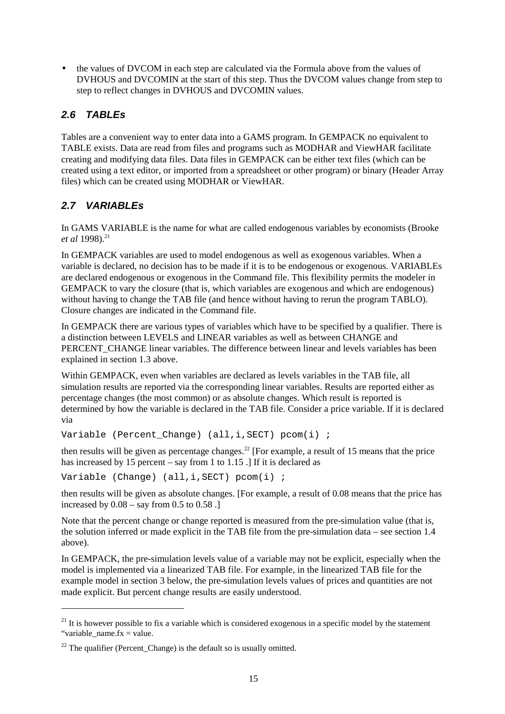• the values of DVCOM in each step are calculated via the Formula above from the values of DVHOUS and DVCOMIN at the start of this step. Thus the DVCOM values change from step to step to reflect changes in DVHOUS and DVCOMIN values.

# **2.6 TABLEs**

Tables are a convenient way to enter data into a GAMS program. In GEMPACK no equivalent to TABLE exists. Data are read from files and programs such as MODHAR and ViewHAR facilitate creating and modifying data files. Data files in GEMPACK can be either text files (which can be created using a text editor, or imported from a spreadsheet or other program) or binary (Header Array files) which can be created using MODHAR or ViewHAR.

# **2.7 VARIABLEs**

 $\overline{a}$ 

In GAMS VARIABLE is the name for what are called endogenous variables by economists (Brooke *et al* 1998).<sup>21</sup>

In GEMPACK variables are used to model endogenous as well as exogenous variables. When a variable is declared, no decision has to be made if it is to be endogenous or exogenous. VARIABLEs are declared endogenous or exogenous in the Command file. This flexibility permits the modeler in GEMPACK to vary the closure (that is, which variables are exogenous and which are endogenous) without having to change the TAB file (and hence without having to rerun the program TABLO). Closure changes are indicated in the Command file.

In GEMPACK there are various types of variables which have to be specified by a qualifier. There is a distinction between LEVELS and LINEAR variables as well as between CHANGE and PERCENT\_CHANGE linear variables. The difference between linear and levels variables has been explained in section 1.3 above.

Within GEMPACK, even when variables are declared as levels variables in the TAB file, all simulation results are reported via the corresponding linear variables. Results are reported either as percentage changes (the most common) or as absolute changes. Which result is reported is determined by how the variable is declared in the TAB file. Consider a price variable. If it is declared via

Variable (Percent Change) (all,i,SECT) pcom(i) ;

then results will be given as percentage changes.<sup>22</sup> [For example, a result of 15 means that the price has increased by 15 percent – say from 1 to 1.15 .] If it is declared as

Variable (Change) (all,i,SECT) pcom(i) ;

then results will be given as absolute changes. [For example, a result of 0.08 means that the price has increased by  $0.08 -$ say from  $0.5$  to  $0.58$ .

Note that the percent change or change reported is measured from the pre-simulation value (that is, the solution inferred or made explicit in the TAB file from the pre-simulation data – see section 1.4 above).

In GEMPACK, the pre-simulation levels value of a variable may not be explicit, especially when the model is implemented via a linearized TAB file. For example, in the linearized TAB file for the example model in section 3 below, the pre-simulation levels values of prices and quantities are not made explicit. But percent change results are easily understood.

 $21$  It is however possible to fix a variable which is considered exogenous in a specific model by the statement "variable name.fx = value.

 $22$  The qualifier (Percent\_Change) is the default so is usually omitted.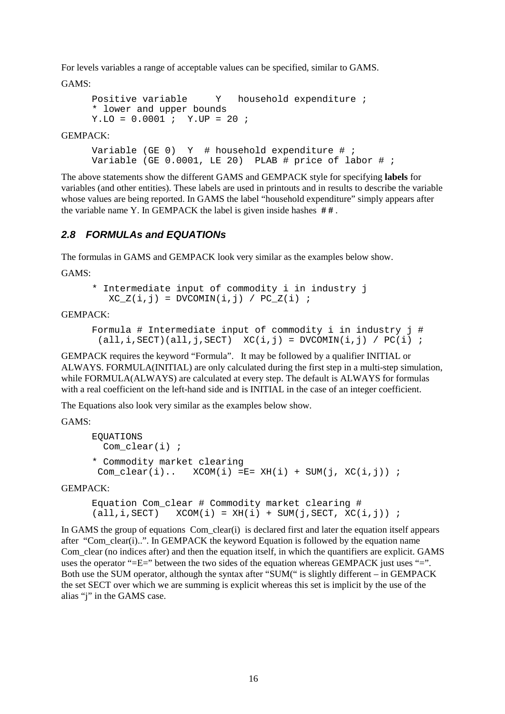For levels variables a range of acceptable values can be specified, similar to GAMS.

GAMS:

```
Positive variable Y household expenditure ;
* lower and upper bounds
Y.LO = 0.0001 ; Y.UP = 20 ;
```
#### GEMPACK:

Variable (GE 0)  $Y$  # household expenditure # ; Variable (GE  $0.0001$ , LE 20) PLAB # price of labor # ;

The above statements show the different GAMS and GEMPACK style for specifying **labels** for variables (and other entities). These labels are used in printouts and in results to describe the variable whose values are being reported. In GAMS the label "household expenditure" simply appears after the variable name Y. In GEMPACK the label is given inside hashes **# #** .

#### **2.8 FORMULAs and EQUATIONs**

The formulas in GAMS and GEMPACK look very similar as the examples below show.

GAMS:

```
* Intermediate input of commodity i in industry j
  XC_Z(i,j) = DVCOMIN(i,j) / PC_Z(i);
```
#### GEMPACK:

```
Formula # Intermediate input of commodity i in industry j #
 (\text{all}, i, \text{SECTION}) (all, j, SECT) XC(i, j) = DVCOMIN(i, j) / PC(i) ;
```
GEMPACK requires the keyword "Formula". It may be followed by a qualifier INITIAL or ALWAYS. FORMULA(INITIAL) are only calculated during the first step in a multi-step simulation, while FORMULA(ALWAYS) are calculated at every step. The default is ALWAYS for formulas with a real coefficient on the left-hand side and is INITIAL in the case of an integer coefficient.

The Equations also look very similar as the examples below show.

GAMS:

```
EQUATIONS
   Com_clear(i) ;
* Commodity market clearing
 Com\_clear(i).. XCOM(i) =E= XH(i) + SUM(j, XC(i,j)) ;
```
GEMPACK:

```
Equation Com clear # Commodity market clearing #
(\text{all}, i, \text{SECTION}) \text{XCOM}(i) = \text{XH}(i) + \text{SUM}(j, \text{SECTION}, \text{XC}(i, j)) ;
```
In GAMS the group of equations Com\_clear(i) is declared first and later the equation itself appears after "Com\_clear(i)..". In GEMPACK the keyword Equation is followed by the equation name Com clear (no indices after) and then the equation itself, in which the quantifiers are explicit. GAMS uses the operator " $=E=$ " between the two sides of the equation whereas GEMPACK just uses " $=$ ". Both use the SUM operator, although the syntax after "SUM(" is slightly different – in GEMPACK the set SECT over which we are summing is explicit whereas this set is implicit by the use of the alias "j" in the GAMS case.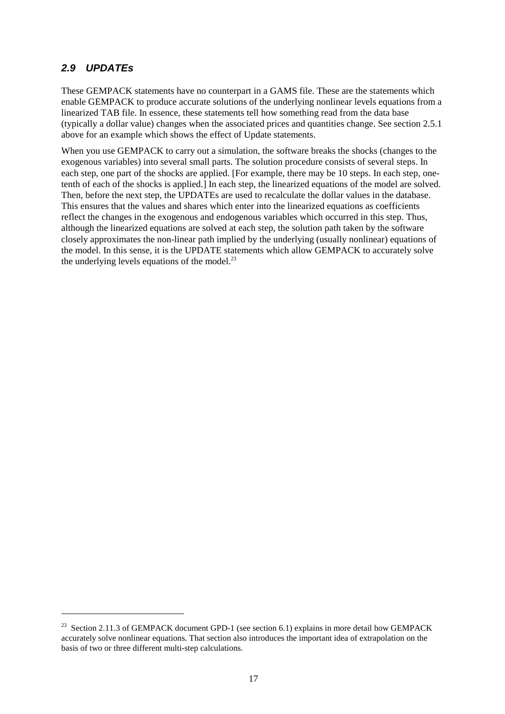#### **2.9 UPDATEs**

 $\overline{a}$ 

These GEMPACK statements have no counterpart in a GAMS file. These are the statements which enable GEMPACK to produce accurate solutions of the underlying nonlinear levels equations from a linearized TAB file. In essence, these statements tell how something read from the data base (typically a dollar value) changes when the associated prices and quantities change. See section 2.5.1 above for an example which shows the effect of Update statements.

When you use GEMPACK to carry out a simulation, the software breaks the shocks (changes to the exogenous variables) into several small parts. The solution procedure consists of several steps. In each step, one part of the shocks are applied. [For example, there may be 10 steps. In each step, onetenth of each of the shocks is applied.] In each step, the linearized equations of the model are solved. Then, before the next step, the UPDATEs are used to recalculate the dollar values in the database. This ensures that the values and shares which enter into the linearized equations as coefficients reflect the changes in the exogenous and endogenous variables which occurred in this step. Thus, although the linearized equations are solved at each step, the solution path taken by the software closely approximates the non-linear path implied by the underlying (usually nonlinear) equations of the model. In this sense, it is the UPDATE statements which allow GEMPACK to accurately solve the underlying levels equations of the model. $^{23}$ 

<sup>&</sup>lt;sup>23</sup> Section 2.11.3 of GEMPACK document GPD-1 (see section 6.1) explains in more detail how GEMPACK accurately solve nonlinear equations. That section also introduces the important idea of extrapolation on the basis of two or three different multi-step calculations.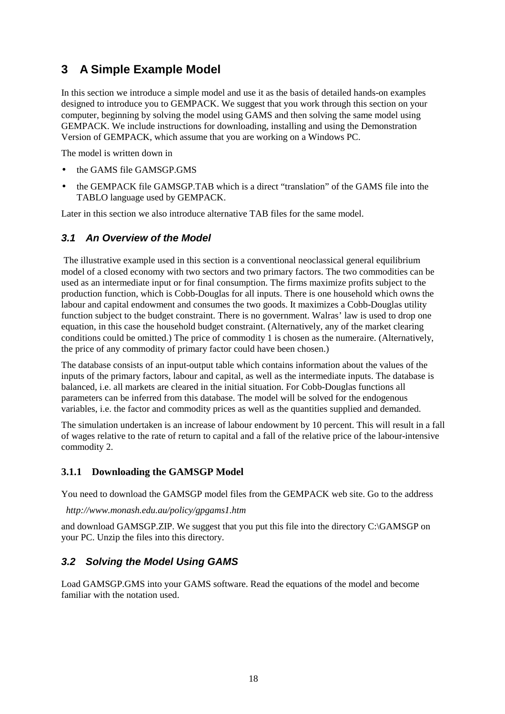# **3 A Simple Example Model**

In this section we introduce a simple model and use it as the basis of detailed hands-on examples designed to introduce you to GEMPACK. We suggest that you work through this section on your computer, beginning by solving the model using GAMS and then solving the same model using GEMPACK. We include instructions for downloading, installing and using the Demonstration Version of GEMPACK, which assume that you are working on a Windows PC.

The model is written down in

- the GAMS file GAMSGP.GMS
- the GEMPACK file GAMSGP.TAB which is a direct "translation" of the GAMS file into the TABLO language used by GEMPACK.

Later in this section we also introduce alternative TAB files for the same model.

#### **3.1 An Overview of the Model**

 The illustrative example used in this section is a conventional neoclassical general equilibrium model of a closed economy with two sectors and two primary factors. The two commodities can be used as an intermediate input or for final consumption. The firms maximize profits subject to the production function, which is Cobb-Douglas for all inputs. There is one household which owns the labour and capital endowment and consumes the two goods. It maximizes a Cobb-Douglas utility function subject to the budget constraint. There is no government. Walras' law is used to drop one equation, in this case the household budget constraint. (Alternatively, any of the market clearing conditions could be omitted.) The price of commodity 1 is chosen as the numeraire. (Alternatively, the price of any commodity of primary factor could have been chosen.)

The database consists of an input-output table which contains information about the values of the inputs of the primary factors, labour and capital, as well as the intermediate inputs. The database is balanced, i.e. all markets are cleared in the initial situation. For Cobb-Douglas functions all parameters can be inferred from this database. The model will be solved for the endogenous variables, i.e. the factor and commodity prices as well as the quantities supplied and demanded.

The simulation undertaken is an increase of labour endowment by 10 percent. This will result in a fall of wages relative to the rate of return to capital and a fall of the relative price of the labour-intensive commodity 2.

#### **3.1.1 Downloading the GAMSGP Model**

You need to download the GAMSGP model files from the GEMPACK web site. Go to the address

*http://www.monash.edu.au/policy/gpgams1.htm*

and download GAMSGP.ZIP. We suggest that you put this file into the directory C:\GAMSGP on your PC. Unzip the files into this directory.

#### **3.2 Solving the Model Using GAMS**

Load GAMSGP.GMS into your GAMS software. Read the equations of the model and become familiar with the notation used.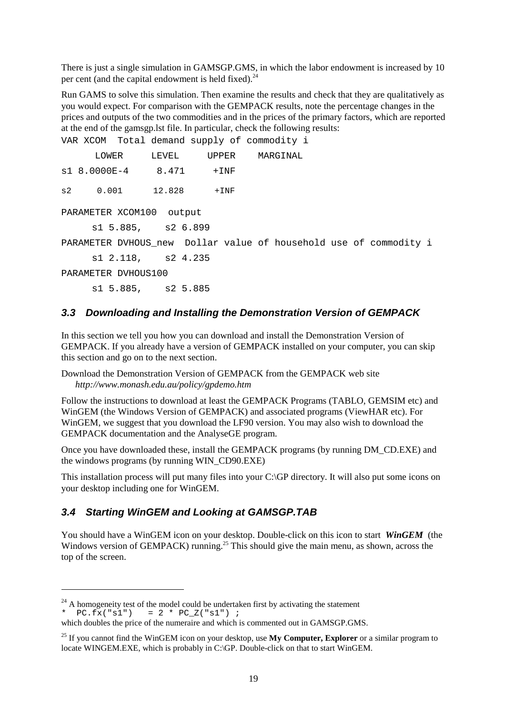There is just a single simulation in GAMSGP.GMS, in which the labor endowment is increased by 10 per cent (and the capital endowment is held fixed). $^{24}$ 

Run GAMS to solve this simulation. Then examine the results and check that they are qualitatively as you would expect. For comparison with the GEMPACK results, note the percentage changes in the prices and outputs of the two commodities and in the prices of the primary factors, which are reported at the end of the gamsgp.lst file. In particular, check the following results:

VAR XCOM Total demand supply of commodity i LOWER LEVEL UPPER MARGINAL s1 8.0000E-4 8.471 +INF s2 0.001 12.828 +INF PARAMETER XCOM100 output s1 5.885, s2 6.899 PARAMETER DVHOUS\_new Dollar value of household use of commodity i s1 2.118, s2 4.235 PARAMETER DVHOUS100 s1 5.885, s2 5.885

#### **3.3 Downloading and Installing the Demonstration Version of GEMPACK**

In this section we tell you how you can download and install the Demonstration Version of GEMPACK. If you already have a version of GEMPACK installed on your computer, you can skip this section and go on to the next section.

Download the Demonstration Version of GEMPACK from the GEMPACK web site *http://www.monash.edu.au/policy/gpdemo.htm*

Follow the instructions to download at least the GEMPACK Programs (TABLO, GEMSIM etc) and WinGEM (the Windows Version of GEMPACK) and associated programs (ViewHAR etc). For WinGEM, we suggest that you download the LF90 version. You may also wish to download the GEMPACK documentation and the AnalyseGE program.

Once you have downloaded these, install the GEMPACK programs (by running DM\_CD.EXE) and the windows programs (by running WIN\_CD90.EXE)

This installation process will put many files into your C:\GP directory. It will also put some icons on your desktop including one for WinGEM.

#### **3.4 Starting WinGEM and Looking at GAMSGP.TAB**

 $\overline{a}$ 

You should have a WinGEM icon on your desktop. Double-click on this icon to start *WinGEM* (the Windows version of GEMPACK) running.<sup>25</sup> This should give the main menu, as shown, across the top of the screen.

 $24$  A homogeneity test of the model could be undertaken first by activating the statement  $PC.Fx("s1") = 2 * PC_Z("s1")$  ;

which doubles the price of the numeraire and which is commented out in GAMSGP.GMS.

<sup>&</sup>lt;sup>25</sup> If you cannot find the WinGEM icon on your desktop, use **My Computer, Explorer** or a similar program to locate WINGEM.EXE, which is probably in C:\GP. Double-click on that to start WinGEM.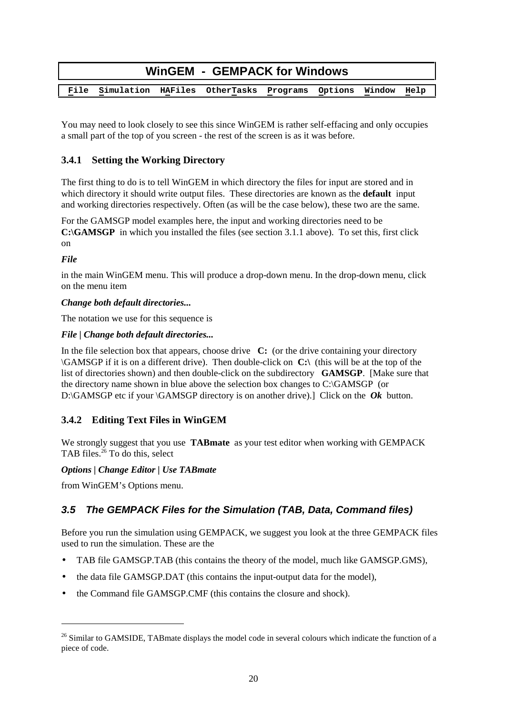| <b>WinGEM - GEMPACK for Windows</b> |  |  |                                                            |  |  |  |      |
|-------------------------------------|--|--|------------------------------------------------------------|--|--|--|------|
|                                     |  |  |                                                            |  |  |  |      |
|                                     |  |  | File Simulation HAFiles OtherTasks Programs Options Window |  |  |  | Help |

You may need to look closely to see this since WinGEM is rather self-effacing and only occupies a small part of the top of you screen - the rest of the screen is as it was before.

### **3.4.1 Setting the Working Directory**

The first thing to do is to tell WinGEM in which directory the files for input are stored and in which directory it should write output files. These directories are known as the **default** input and working directories respectively. Often (as will be the case below), these two are the same.

For the GAMSGP model examples here, the input and working directories need to be **C:GAMSGP** in which you installed the files (see section 3.1.1 above). To set this, first click on

#### *File*

 $\ddot{\phantom{a}}$ 

in the main WinGEM menu. This will produce a drop-down menu. In the drop-down menu, click on the menu item

#### *Change both default directories...*

The notation we use for this sequence is

#### *File | Change both default directories...*

In the file selection box that appears, choose drive **C:** (or the drive containing your directory \GAMSGP if it is on a different drive). Then double-click on **C:\** (this will be at the top of the list of directories shown) and then double-click on the subdirectory **GAMSGP**. [Make sure that the directory name shown in blue above the selection box changes to C:\GAMSGP (or D:\GAMSGP etc if your \GAMSGP directory is on another drive).] Click on the *Ok* button.

#### **3.4.2 Editing Text Files in WinGEM**

We strongly suggest that you use **TABmate** as your test editor when working with GEMPACK TAB files. $26$  To do this, select

#### *Options | Change Editor | Use TABmate*

from WinGEM's Options menu.

# **3.5 The GEMPACK Files for the Simulation (TAB, Data, Command files)**

Before you run the simulation using GEMPACK, we suggest you look at the three GEMPACK files used to run the simulation. These are the

- TAB file GAMSGP.TAB (this contains the theory of the model, much like GAMSGP.GMS),
- the data file GAMSGP.DAT (this contains the input-output data for the model),
- the Command file GAMSGP.CMF (this contains the closure and shock).

<sup>&</sup>lt;sup>26</sup> Similar to GAMSIDE, TABmate displays the model code in several colours which indicate the function of a piece of code.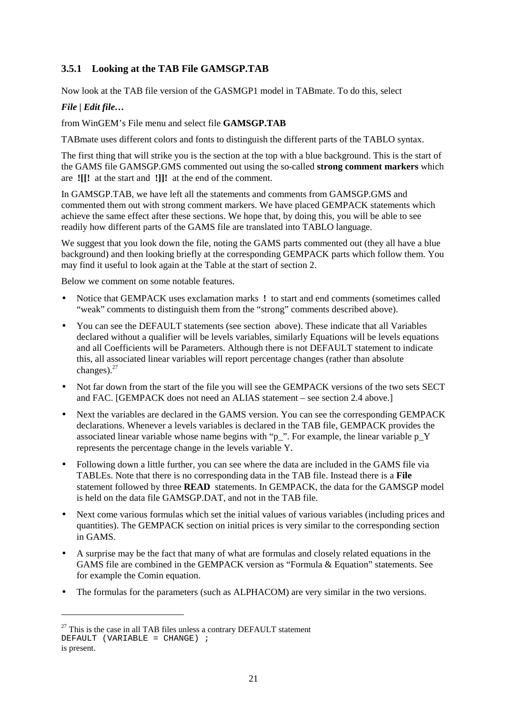# **3.5.1 Looking at the TAB File GAMSGP.TAB**

Now look at the TAB file version of the GASMGP1 model in TABmate. To do this, select

#### *File | Edit file…*

#### from WinGEM's File menu and select file **GAMSGP.TAB**

TABmate uses different colors and fonts to distinguish the different parts of the TABLO syntax.

The first thing that will strike you is the section at the top with a blue background. This is the start of the GAMS file GAMSGP.GMS commented out using the so-called **strong comment markers** which are **![[!** at the start and **!]]!** at the end of the comment.

In GAMSGP.TAB, we have left all the statements and comments from GAMSGP.GMS and commented them out with strong comment markers. We have placed GEMPACK statements which achieve the same effect after these sections. We hope that, by doing this, you will be able to see readily how different parts of the GAMS file are translated into TABLO language.

We suggest that you look down the file, noting the GAMS parts commented out (they all have a blue background) and then looking briefly at the corresponding GEMPACK parts which follow them. You may find it useful to look again at the Table at the start of section 2.

Below we comment on some notable features.

- Notice that GEMPACK uses exclamation marks **!** to start and end comments (sometimes called "weak" comments to distinguish them from the "strong" comments described above).
- You can see the DEFAULT statements (see section above). These indicate that all Variables declared without a qualifier will be levels variables, similarly Equations will be levels equations and all Coefficients will be Parameters. Although there is not DEFAULT statement to indicate this, all associated linear variables will report percentage changes (rather than absolute changes).<sup>27</sup>
- Not far down from the start of the file you will see the GEMPACK versions of the two sets SECT and FAC. [GEMPACK does not need an ALIAS statement – see section 2.4 above.]
- Next the variables are declared in the GAMS version. You can see the corresponding GEMPACK declarations. Whenever a levels variables is declared in the TAB file, GEMPACK provides the associated linear variable whose name begins with "p\_". For example, the linear variable p\_Y represents the percentage change in the levels variable Y.
- Following down a little further, you can see where the data are included in the GAMS file via TABLEs. Note that there is no corresponding data in the TAB file. Instead there is a **File** statement followed by three **READ** statements. In GEMPACK, the data for the GAMSGP model is held on the data file GAMSGP.DAT, and not in the TAB file.
- Next come various formulas which set the initial values of various variables (including prices and quantities). The GEMPACK section on initial prices is very similar to the corresponding section in GAMS.
- A surprise may be the fact that many of what are formulas and closely related equations in the GAMS file are combined in the GEMPACK version as "Formula & Equation" statements. See for example the Comin equation.
- The formulas for the parameters (such as ALPHACOM) are very similar in the two versions.

 $\overline{a}$ 

 $27$  This is the case in all TAB files unless a contrary DEFAULT statement DEFAULT (VARIABLE =  $CHANGE$ ) ; is present.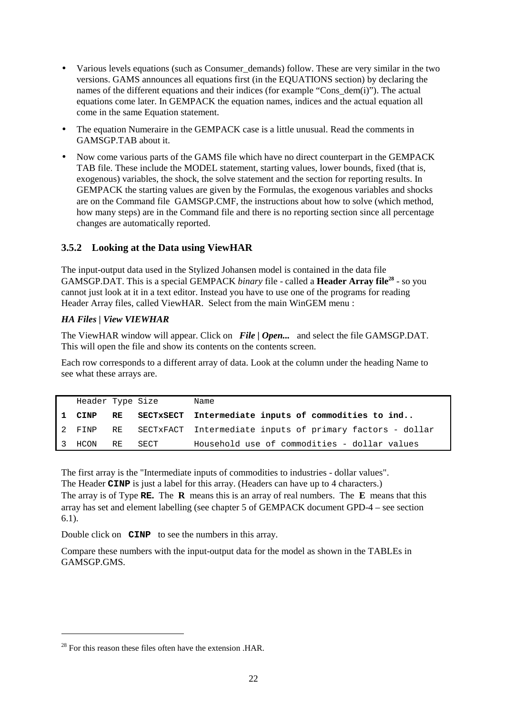- Various levels equations (such as Consumer demands) follow. These are very similar in the two versions. GAMS announces all equations first (in the EQUATIONS section) by declaring the names of the different equations and their indices (for example "Cons\_dem(i)"). The actual equations come later. In GEMPACK the equation names, indices and the actual equation all come in the same Equation statement.
- The equation Numeraire in the GEMPACK case is a little unusual. Read the comments in GAMSGP.TAB about it.
- Now come various parts of the GAMS file which have no direct counterpart in the GEMPACK TAB file. These include the MODEL statement, starting values, lower bounds, fixed (that is, exogenous) variables, the shock, the solve statement and the section for reporting results. In GEMPACK the starting values are given by the Formulas, the exogenous variables and shocks are on the Command file GAMSGP.CMF, the instructions about how to solve (which method, how many steps) are in the Command file and there is no reporting section since all percentage changes are automatically reported.

#### **3.5.2 Looking at the Data using ViewHAR**

The input-output data used in the Stylized Johansen model is contained in the data file GAMSGP.DAT. This is a special GEMPACK *binary* file - called a **Header Array file**<sup>28</sup> - so you cannot just look at it in a text editor. Instead you have to use one of the programs for reading Header Array files, called ViewHAR. Select from the main WinGEM menu :

#### *HA Files | View VIEWHAR*

The ViewHAR window will appear. Click on *File | Open...* and select the file GAMSGP.DAT. This will open the file and show its contents on the contents screen.

Each row corresponds to a different array of data. Look at the column under the heading Name to see what these arrays are.

| Header Type Size |    |      | Name                                                         |
|------------------|----|------|--------------------------------------------------------------|
| 1 CINP           | RE |      | SECTxSECT Intermediate inputs of commodities to ind          |
| 2 FINP           |    |      | RE SECTXFACT Intermediate inputs of primary factors - dollar |
| 3 HCON           | RE | SECT | Household use of commodities - dollar values                 |

The first array is the "Intermediate inputs of commodities to industries - dollar values". The Header **CINP** is just a label for this array. (Headers can have up to 4 characters.)

The array is of Type **RE.** The **R** means this is an array of real numbers. The **E** means that this array has set and element labelling (see chapter 5 of GEMPACK document GPD-4 – see section 6.1).

Double click on **CINP** to see the numbers in this array.

Compare these numbers with the input-output data for the model as shown in the TABLEs in GAMSGP.GMS.

 $\overline{a}$ 

<sup>&</sup>lt;sup>28</sup> For this reason these files often have the extension .HAR.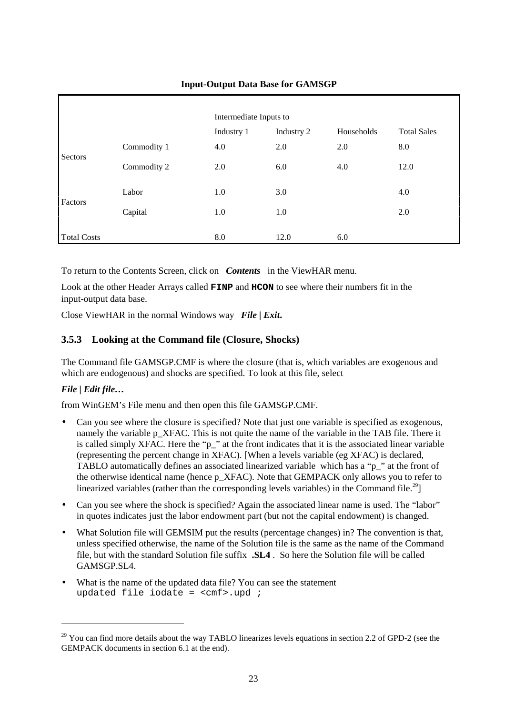# Intermediate Inputs to Industry 1 Industry 2 Households Total Sales Commodity 1 4.0 2.0 2.0 8.0 Sectors Commodity 2 2.0 6.0 4.0 12.0 Labor 1.0 3.0 4.0 Factors  $\text{Capital}$  1.0 1.0 2.0 Total Costs 6.0 12.0 6.0

#### **Input-Output Data Base for GAMSGP**

To return to the Contents Screen, click on *Contents*in the ViewHAR menu.

Look at the other Header Arrays called **FINP** and **HCON** to see where their numbers fit in the input-output data base.

Close ViewHAR in the normal Windows way *File | Exit***.**

#### **3.5.3 Looking at the Command file (Closure, Shocks)**

The Command file GAMSGP.CMF is where the closure (that is, which variables are exogenous and which are endogenous) and shocks are specified. To look at this file, select

#### *File | Edit file…*

 $\ddot{\phantom{a}}$ 

from WinGEM's File menu and then open this file GAMSGP.CMF.

- Can you see where the closure is specified? Note that just one variable is specified as exogenous, namely the variable p\_XFAC. This is not quite the name of the variable in the TAB file. There it is called simply XFAC. Here the "p\_" at the front indicates that it is the associated linear variable (representing the percent change in XFAC). [When a levels variable (eg XFAC) is declared, TABLO automatically defines an associated linearized variable which has a "p\_" at the front of the otherwise identical name (hence p\_XFAC). Note that GEMPACK only allows you to refer to linearized variables (rather than the corresponding levels variables) in the Command file.<sup>29</sup>]
- Can you see where the shock is specified? Again the associated linear name is used. The "labor" in quotes indicates just the labor endowment part (but not the capital endowment) is changed.
- What Solution file will GEMSIM put the results (percentage changes) in? The convention is that, unless specified otherwise, the name of the Solution file is the same as the name of the Command file, but with the standard Solution file suffix **.SL4** . So here the Solution file will be called GAMSGP.SL4.
- What is the name of the updated data file? You can see the statement updated file iodate =  $\text{cmf} > \text{.}$ upd ;

<sup>&</sup>lt;sup>29</sup> You can find more details about the way TABLO linearizes levels equations in section 2.2 of GPD-2 (see the GEMPACK documents in section 6.1 at the end).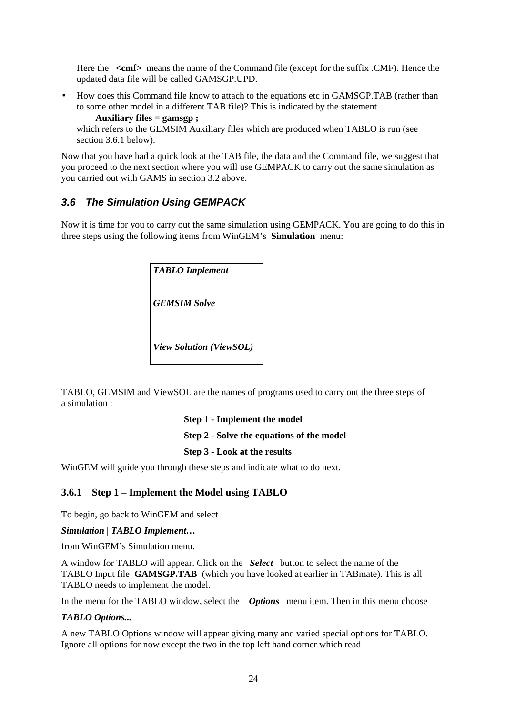Here the **<cmf>** means the name of the Command file (except for the suffix .CMF). Hence the updated data file will be called GAMSGP.UPD.

• How does this Command file know to attach to the equations etc in GAMSGP.TAB (rather than to some other model in a different TAB file)? This is indicated by the statement

 **Auxiliary files = gamsgp ;** which refers to the GEMSIM Auxiliary files which are produced when TABLO is run (see section 3.6.1 below).

Now that you have had a quick look at the TAB file, the data and the Command file, we suggest that you proceed to the next section where you will use GEMPACK to carry out the same simulation as you carried out with GAMS in section 3.2 above.

#### **3.6 The Simulation Using GEMPACK**

Now it is time for you to carry out the same simulation using GEMPACK. You are going to do this in three steps using the following items from WinGEM's **Simulation** menu:

| <b>TABLO</b> Implement         |
|--------------------------------|
| <b>GEMSIM Solve</b>            |
| <b>View Solution (ViewSOL)</b> |

TABLO, GEMSIM and ViewSOL are the names of programs used to carry out the three steps of a simulation :

**Step 1 - Implement the model**

**Step 2 - Solve the equations of the model**

#### **Step 3 - Look at the results**

WinGEM will guide you through these steps and indicate what to do next.

#### **3.6.1 Step 1 – Implement the Model using TABLO**

To begin, go back to WinGEM and select

#### *Simulation | TABLO Implement…*

from WinGEM's Simulation menu.

A window for TABLO will appear. Click on the *Select*button to select the name of the TABLO Input file **GAMSGP.TAB** (which you have looked at earlier in TABmate). This is all TABLO needs to implement the model.

In the menu for the TABLO window, select the *Options* menu item. Then in this menu choose

#### *TABLO Options...*

A new TABLO Options window will appear giving many and varied special options for TABLO. Ignore all options for now except the two in the top left hand corner which read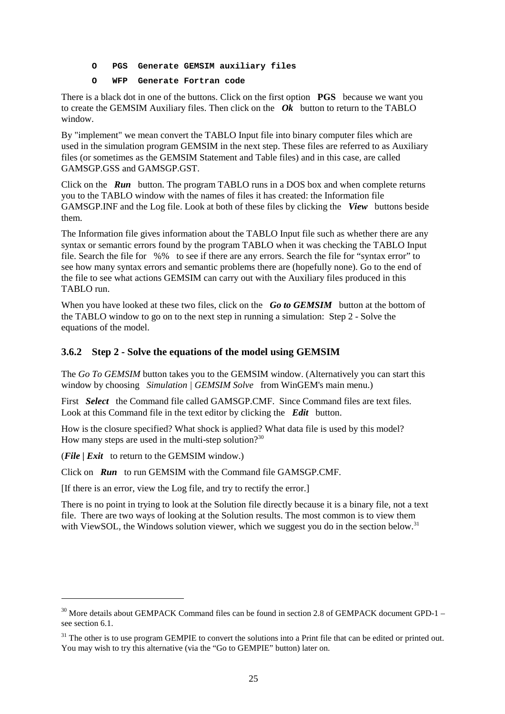#### **O PGS Generate GEMSIM auxiliary files**

#### **O WFP Generate Fortran code**

There is a black dot in one of the buttons. Click on the first option **PGS** because we want you to create the GEMSIM Auxiliary files. Then click on the  $\overrightarrow{Ok}$  button to return to the TABLO window.

By "implement" we mean convert the TABLO Input file into binary computer files which are used in the simulation program GEMSIM in the next step. These files are referred to as Auxiliary files (or sometimes as the GEMSIM Statement and Table files) and in this case, are called GAMSGP.GSS and GAMSGP.GST.

Click on the *Run*button. The program TABLO runs in a DOS box and when complete returns you to the TABLO window with the names of files it has created: the Information file GAMSGP.INF and the Log file. Look at both of these files by clicking the *View*buttons beside them.

The Information file gives information about the TABLO Input file such as whether there are any syntax or semantic errors found by the program TABLO when it was checking the TABLO Input file. Search the file for%% to see if there are any errors. Search the file for "syntax error" to see how many syntax errors and semantic problems there are (hopefully none). Go to the end of the file to see what actions GEMSIM can carry out with the Auxiliary files produced in this TABLO run.

When you have looked at these two files, click on the *Go to GEMSIM* button at the bottom of the TABLO window to go on to the next step in running a simulation: Step 2 - Solve the equations of the model.

#### **3.6.2 Step 2 - Solve the equations of the model using GEMSIM**

The *Go To GEMSIM* button takes you to the GEMSIM window. (Alternatively you can start this window by choosing *Simulation | GEMSIM Solve*from WinGEM's main menu.)

First *Select* the Command file called GAMSGP.CMF. Since Command files are text files. Look at this Command file in the text editor by clicking the *Edit*button.

How is the closure specified? What shock is applied? What data file is used by this model? How many steps are used in the multi-step solution? $30$ 

(*File | Exit*to return to the GEMSIM window.)

 $\ddot{\phantom{a}}$ 

Click on *Run*to run GEMSIM with the Command file GAMSGP.CMF.

[If there is an error, view the Log file, and try to rectify the error.]

There is no point in trying to look at the Solution file directly because it is a binary file, not a text file. There are two ways of looking at the Solution results. The most common is to view them with ViewSOL, the Windows solution viewer, which we suggest you do in the section below.<sup>31</sup>

<sup>&</sup>lt;sup>30</sup> More details about GEMPACK Command files can be found in section 2.8 of GEMPACK document GPD-1 – see section 6.1.

 $31$  The other is to use program GEMPIE to convert the solutions into a Print file that can be edited or printed out. You may wish to try this alternative (via the "Go to GEMPIE" button) later on.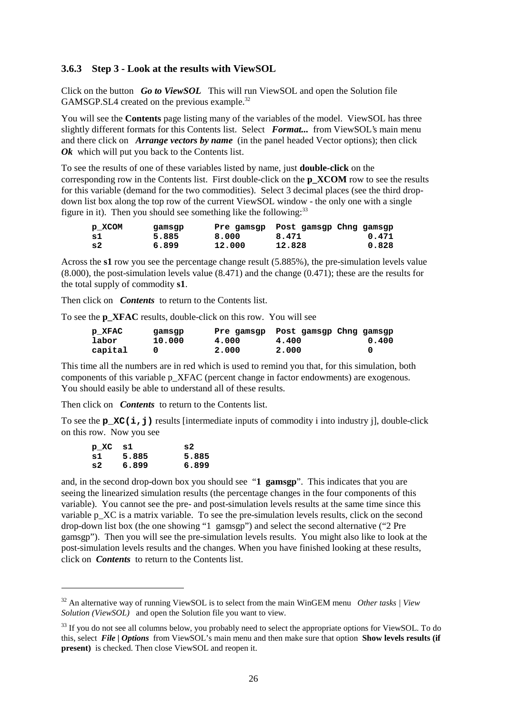#### **3.6.3 Step 3 - Look at the results with ViewSOL**

Click on the button *Go to ViewSOL* This will run ViewSOL and open the Solution file GAMSGP.SL4 created on the previous example.<sup>32</sup>

You will see the **Contents** page listing many of the variables of the model. ViewSOL has three slightly different formats for this Contents list. Select *Format...* from ViewSOL's main menu and there click on *Arrange vectors by name* (in the panel headed Vector options); then click *Ok* which will put you back to the Contents list.

To see the results of one of these variables listed by name, just **double-click** on the corresponding row in the Contents list. First double-click on the **p\_XCOM** row to see the results for this variable (demand for the two commodities). Select 3 decimal places (see the third dropdown list box along the top row of the current ViewSOL window - the only one with a single figure in it). Then you should see something like the following:  $33$ 

| p XCOM | gamsgp |        | Pre gamsgp Post gamsgp Chng gamsgp |       |
|--------|--------|--------|------------------------------------|-------|
| -sl    | 5.885  | 8.000  | 8.471                              | 0.471 |
| - s 2  | 6.899  | 12,000 | 12.828                             | 0.828 |

Across the **s1** row you see the percentage change result (5.885%), the pre-simulation levels value (8.000), the post-simulation levels value (8.471) and the change (0.471); these are the results for the total supply of commodity **s1**.

Then click on *Contents* to return to the Contents list.

To see the **p\_XFAC** results, double-click on this row. You will see

| p XFAC  | qamsqp | Pre gamsgp | Post gamsgp Chng gamsgp |       |
|---------|--------|------------|-------------------------|-------|
| labor   | 10.000 | 4.000      | 4.400                   | 0.400 |
| capital |        | 2,000      | 2.000                   |       |

This time all the numbers are in red which is used to remind you that, for this simulation, both components of this variable p\_XFAC (percent change in factor endowments) are exogenous. You should easily be able to understand all of these results.

Then click on *Contents* to return to the Contents list.

To see the **p\_XC(i,j)** results [intermediate inputs of commodity i into industry j], double-click on this row. Now you see

| p XC s1 |       | s 2.  |
|---------|-------|-------|
| s1      | 5.885 | 5.885 |
| s2      | 6.899 | 6.899 |

 $\overline{a}$ 

and, in the second drop-down box you should see "**1 gamsgp**". This indicates that you are seeing the linearized simulation results (the percentage changes in the four components of this variable). You cannot see the pre- and post-simulation levels results at the same time since this variable p XC is a matrix variable. To see the pre-simulation levels results, click on the second drop-down list box (the one showing "1 gamsgp") and select the second alternative ("2 Pre gamsgp"). Then you will see the pre-simulation levels results. You might also like to look at the post-simulation levels results and the changes. When you have finished looking at these results, click on *Contents* to return to the Contents list.

<sup>32</sup> An alternative way of running ViewSOL is to select from the main WinGEM menu *Other tasks | View Solution (ViewSOL)* and open the Solution file you want to view.

<sup>&</sup>lt;sup>33</sup> If you do not see all columns below, you probably need to select the appropriate options for ViewSOL. To do this, select *File | Options* from ViewSOL's main menu and then make sure that option **Show levels results (if present)** is checked. Then close ViewSOL and reopen it.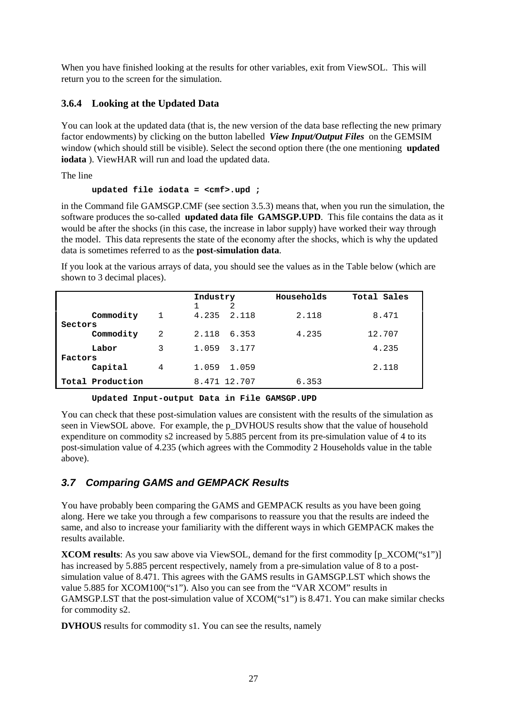When you have finished looking at the results for other variables, exit from ViewSOL. This will return you to the screen for the simulation.

#### **3.6.4 Looking at the Updated Data**

You can look at the updated data (that is, the new version of the data base reflecting the new primary factor endowments) by clicking on the button labelled *View Input/Output Files* on the GEMSIM window (which should still be visible). Select the second option there (the one mentioning **updated iodata** ). ViewHAR will run and load the updated data.

The line

#### **updated file iodata = <cmf>.upd ;**

in the Command file GAMSGP.CMF (see section 3.5.3) means that, when you run the simulation, the software produces the so-called **updated data file GAMSGP.UPD**. This file contains the data as it would be after the shocks (in this case, the increase in labor supply) have worked their way through the model. This data represents the state of the economy after the shocks, which is why the updated data is sometimes referred to as the **post-simulation data**.

If you look at the various arrays of data, you should see the values as in the Table below (which are shown to 3 decimal places).

| 4.235 2.118<br>Commodity<br>8.471<br>2.118<br>1<br>Sectors<br>Commodity<br>2<br>2.118<br>6.353<br>4.235<br>12.707<br>3<br>4.235<br>3.177<br>Labor<br>1.059<br>Factors<br>Capital<br>4<br>2.118<br>1.059<br>1.059 |  | Industry     | Households | Total Sales |
|------------------------------------------------------------------------------------------------------------------------------------------------------------------------------------------------------------------|--|--------------|------------|-------------|
|                                                                                                                                                                                                                  |  |              |            |             |
|                                                                                                                                                                                                                  |  |              |            |             |
|                                                                                                                                                                                                                  |  |              |            |             |
|                                                                                                                                                                                                                  |  |              |            |             |
|                                                                                                                                                                                                                  |  |              |            |             |
|                                                                                                                                                                                                                  |  |              |            |             |
|                                                                                                                                                                                                                  |  |              |            |             |
| Total Production                                                                                                                                                                                                 |  | 8.471 12.707 | 6.353      |             |

**Updated Input-output Data in File GAMSGP.UPD**

You can check that these post-simulation values are consistent with the results of the simulation as seen in ViewSOL above. For example, the p\_DVHOUS results show that the value of household expenditure on commodity s2 increased by 5.885 percent from its pre-simulation value of 4 to its post-simulation value of 4.235 (which agrees with the Commodity 2 Households value in the table above).

#### **3.7 Comparing GAMS and GEMPACK Results**

You have probably been comparing the GAMS and GEMPACK results as you have been going along. Here we take you through a few comparisons to reassure you that the results are indeed the same, and also to increase your familiarity with the different ways in which GEMPACK makes the results available.

**XCOM results**: As you saw above via ViewSOL, demand for the first commodity [p\_XCOM("s1")] has increased by 5.885 percent respectively, namely from a pre-simulation value of 8 to a postsimulation value of 8.471. This agrees with the GAMS results in GAMSGP.LST which shows the value 5.885 for XCOM100("s1"). Also you can see from the "VAR XCOM" results in GAMSGP.LST that the post-simulation value of XCOM("s1") is 8.471. You can make similar checks for commodity s2.

**DVHOUS** results for commodity s1. You can see the results, namely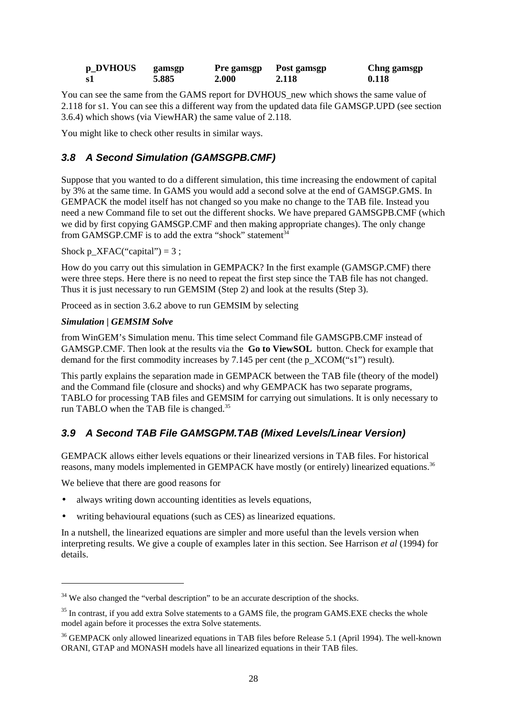| p_DVHOUS | gamsgp | Pre gamsgp | Post gamsgp | Chng gamsgp |
|----------|--------|------------|-------------|-------------|
| -s1      | 5.885  | 2.000      | 2.118       | 0.118       |

You can see the same from the GAMS report for DVHOUS new which shows the same value of 2.118 for s1. You can see this a different way from the updated data file GAMSGP.UPD (see section 3.6.4) which shows (via ViewHAR) the same value of 2.118.

You might like to check other results in similar ways.

# **3.8 A Second Simulation (GAMSGPB.CMF)**

Suppose that you wanted to do a different simulation, this time increasing the endowment of capital by 3% at the same time. In GAMS you would add a second solve at the end of GAMSGP.GMS. In GEMPACK the model itself has not changed so you make no change to the TAB file. Instead you need a new Command file to set out the different shocks. We have prepared GAMSGPB.CMF (which we did by first copying GAMSGP.CMF and then making appropriate changes). The only change from GAMSGP.CMF is to add the extra "shock" statement<sup>34</sup>

Shock  $p_XFAC("capital") = 3$ ;

How do you carry out this simulation in GEMPACK? In the first example (GAMSGP.CMF) there were three steps. Here there is no need to repeat the first step since the TAB file has not changed. Thus it is just necessary to run GEMSIM (Step 2) and look at the results (Step 3).

Proceed as in section 3.6.2 above to run GEMSIM by selecting

#### *Simulation | GEMSIM Solve*

from WinGEM's Simulation menu. This time select Command file GAMSGPB.CMF instead of GAMSGP.CMF. Then look at the results via the **Go to ViewSOL** button. Check for example that demand for the first commodity increases by 7.145 per cent (the p\_XCOM("s1") result).

This partly explains the separation made in GEMPACK between the TAB file (theory of the model) and the Command file (closure and shocks) and why GEMPACK has two separate programs, TABLO for processing TAB files and GEMSIM for carrying out simulations. It is only necessary to run TABLO when the TAB file is changed.<sup>35</sup>

# **3.9 A Second TAB File GAMSGPM.TAB (Mixed Levels/Linear Version)**

GEMPACK allows either levels equations or their linearized versions in TAB files. For historical reasons, many models implemented in GEMPACK have mostly (or entirely) linearized equations.<sup>36</sup>

We believe that there are good reasons for

 $\overline{a}$ 

- always writing down accounting identities as levels equations,
- writing behavioural equations (such as CES) as linearized equations.

In a nutshell, the linearized equations are simpler and more useful than the levels version when interpreting results. We give a couple of examples later in this section. See Harrison *et al* (1994) for details.

 $34$  We also changed the "verbal description" to be an accurate description of the shocks.

<sup>&</sup>lt;sup>35</sup> In contrast, if you add extra Solve statements to a GAMS file, the program GAMS.EXE checks the whole model again before it processes the extra Solve statements.

<sup>&</sup>lt;sup>36</sup> GEMPACK only allowed linearized equations in TAB files before Release 5.1 (April 1994). The well-known ORANI, GTAP and MONASH models have all linearized equations in their TAB files.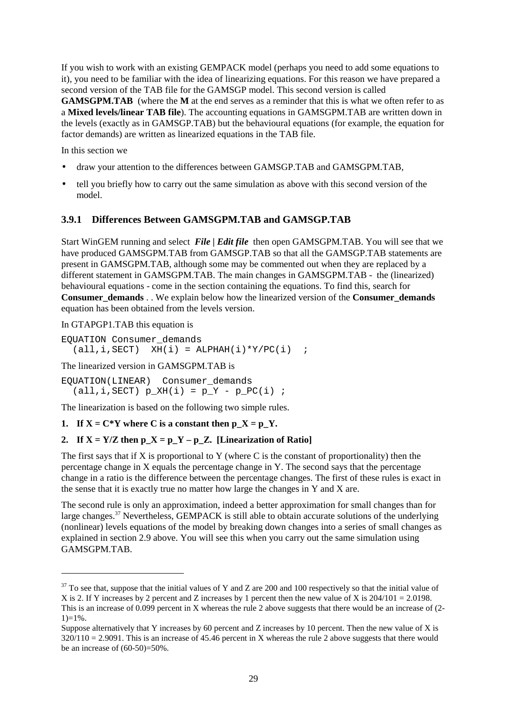If you wish to work with an existing GEMPACK model (perhaps you need to add some equations to it), you need to be familiar with the idea of linearizing equations. For this reason we have prepared a second version of the TAB file for the GAMSGP model. This second version is called **GAMSGPM.TAB** (where the **M** at the end serves as a reminder that this is what we often refer to as a **Mixed levels/linear TAB file**). The accounting equations in GAMSGPM.TAB are written down in the levels (exactly as in GAMSGP.TAB) but the behavioural equations (for example, the equation for factor demands) are written as linearized equations in the TAB file.

In this section we

- draw your attention to the differences between GAMSGP.TAB and GAMSGPM.TAB,
- tell you briefly how to carry out the same simulation as above with this second version of the model.

#### **3.9.1 Differences Between GAMSGPM.TAB and GAMSGP.TAB**

Start WinGEM running and select *File | Edit file* then open GAMSGPM.TAB. You will see that we have produced GAMSGPM.TAB from GAMSGP.TAB so that all the GAMSGP.TAB statements are present in GAMSGPM.TAB, although some may be commented out when they are replaced by a different statement in GAMSGPM.TAB. The main changes in GAMSGPM.TAB - the (linearized) behavioural equations - come in the section containing the equations. To find this, search for **Consumer\_demands** . . We explain below how the linearized version of the **Consumer** demands equation has been obtained from the levels version.

In GTAPGP1.TAB this equation is

 $\overline{a}$ 

EQUATION Consumer\_demands  $(\text{all}, i, \text{SECTION})$   $XH(i) = \text{ALPHAH}(i) * Y/PC(i)$  ;

The linearized version in GAMSGPM.TAB is

EQUATION(LINEAR) Consumer\_demands  $(\text{all}, i, \text{SECTION})$   $p_XH(i) = p_Y - p_PC(i)$ ;

The linearization is based on the following two simple rules.

#### **1.** If  $X = C^*Y$  where C is a constant then  $pX = pY$ .

#### 2. If  $X = Y/Z$  then  $p_X = p_Y - p_Z$ . [Linearization of Ratio]

The first says that if  $X$  is proportional to  $Y$  (where  $C$  is the constant of proportionality) then the percentage change in X equals the percentage change in Y. The second says that the percentage change in a ratio is the difference between the percentage changes. The first of these rules is exact in the sense that it is exactly true no matter how large the changes in Y and X are.

The second rule is only an approximation, indeed a better approximation for small changes than for large changes.<sup>37</sup> Nevertheless, GEMPACK is still able to obtain accurate solutions of the underlying (nonlinear) levels equations of the model by breaking down changes into a series of small changes as explained in section 2.9 above. You will see this when you carry out the same simulation using GAMSGPM.TAB.

 $37$  To see that, suppose that the initial values of Y and Z are 200 and 100 respectively so that the initial value of X is 2. If Y increases by 2 percent and Z increases by 1 percent then the new value of X is  $204/101 = 2.0198$ . This is an increase of 0.099 percent in X whereas the rule 2 above suggests that there would be an increase of (2-  $1)=1\%$ .

Suppose alternatively that Y increases by 60 percent and Z increases by 10 percent. Then the new value of X is  $320/110 = 2.9091$ . This is an increase of 45.46 percent in X whereas the rule 2 above suggests that there would be an increase of  $(60-50)=50\%$ .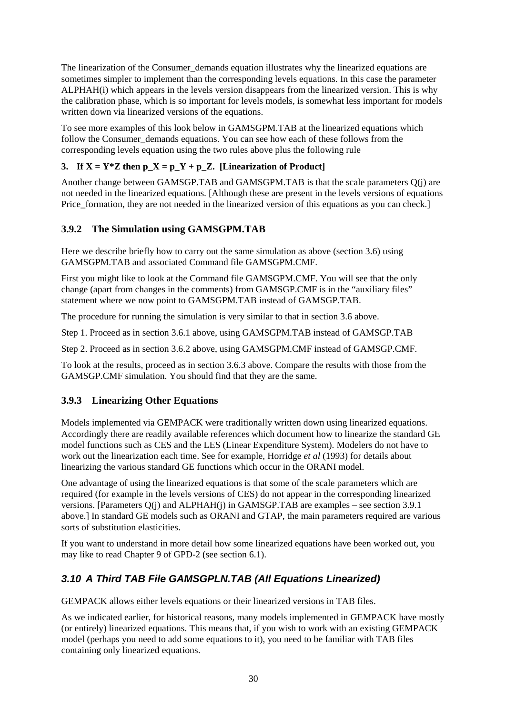The linearization of the Consumer\_demands equation illustrates why the linearized equations are sometimes simpler to implement than the corresponding levels equations. In this case the parameter ALPHAH(i) which appears in the levels version disappears from the linearized version. This is why the calibration phase, which is so important for levels models, is somewhat less important for models written down via linearized versions of the equations.

To see more examples of this look below in GAMSGPM.TAB at the linearized equations which follow the Consumer\_demands equations. You can see how each of these follows from the corresponding levels equation using the two rules above plus the following rule

#### **3. If**  $X = Y^*Z$  then  $p_X = p_Y + p_Z$ . [Linearization of Product]

Another change between GAMSGP.TAB and GAMSGPM.TAB is that the scale parameters Q(j) are not needed in the linearized equations. [Although these are present in the levels versions of equations Price formation, they are not needed in the linearized version of this equations as you can check.]

#### **3.9.2 The Simulation using GAMSGPM.TAB**

Here we describe briefly how to carry out the same simulation as above (section 3.6) using GAMSGPM.TAB and associated Command file GAMSGPM.CMF.

First you might like to look at the Command file GAMSGPM.CMF. You will see that the only change (apart from changes in the comments) from GAMSGP.CMF is in the "auxiliary files" statement where we now point to GAMSGPM.TAB instead of GAMSGP.TAB.

The procedure for running the simulation is very similar to that in section 3.6 above.

Step 1. Proceed as in section 3.6.1 above, using GAMSGPM.TAB instead of GAMSGP.TAB

Step 2. Proceed as in section 3.6.2 above, using GAMSGPM.CMF instead of GAMSGP.CMF.

To look at the results, proceed as in section 3.6.3 above. Compare the results with those from the GAMSGP.CMF simulation. You should find that they are the same.

#### **3.9.3 Linearizing Other Equations**

Models implemented via GEMPACK were traditionally written down using linearized equations. Accordingly there are readily available references which document how to linearize the standard GE model functions such as CES and the LES (Linear Expenditure System). Modelers do not have to work out the linearization each time. See for example, Horridge *et al* (1993) for details about linearizing the various standard GE functions which occur in the ORANI model.

One advantage of using the linearized equations is that some of the scale parameters which are required (for example in the levels versions of CES) do not appear in the corresponding linearized versions. [Parameters Q(j) and ALPHAH(j) in GAMSGP.TAB are examples – see section 3.9.1 above.] In standard GE models such as ORANI and GTAP, the main parameters required are various sorts of substitution elasticities.

If you want to understand in more detail how some linearized equations have been worked out, you may like to read Chapter 9 of GPD-2 (see section 6.1).

# **3.10 A Third TAB File GAMSGPLN.TAB (All Equations Linearized)**

GEMPACK allows either levels equations or their linearized versions in TAB files.

As we indicated earlier, for historical reasons, many models implemented in GEMPACK have mostly (or entirely) linearized equations. This means that, if you wish to work with an existing GEMPACK model (perhaps you need to add some equations to it), you need to be familiar with TAB files containing only linearized equations.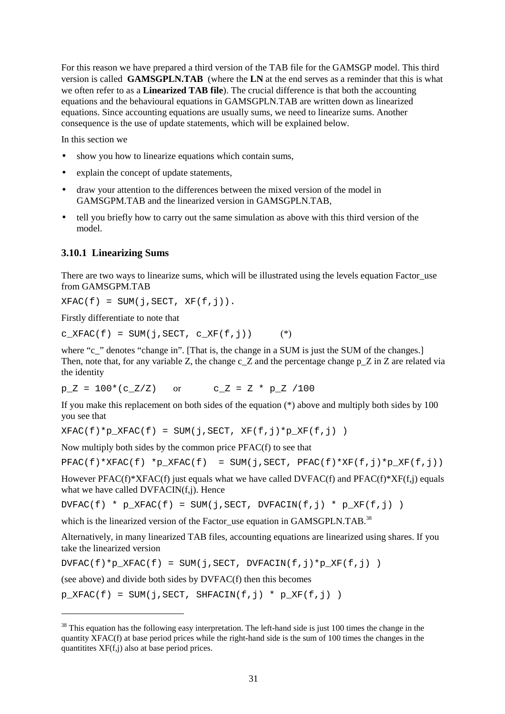For this reason we have prepared a third version of the TAB file for the GAMSGP model. This third version is called **GAMSGPLN.TAB** (where the **LN** at the end serves as a reminder that this is what we often refer to as a **Linearized TAB file**). The crucial difference is that both the accounting equations and the behavioural equations in GAMSGPLN.TAB are written down as linearized equations. Since accounting equations are usually sums, we need to linearize sums. Another consequence is the use of update statements, which will be explained below.

In this section we

- show you how to linearize equations which contain sums,
- explain the concept of update statements,
- draw your attention to the differences between the mixed version of the model in GAMSGPM.TAB and the linearized version in GAMSGPLN.TAB,
- tell you briefly how to carry out the same simulation as above with this third version of the model.

#### **3.10.1 Linearizing Sums**

There are two ways to linearize sums, which will be illustrated using the levels equation Factor use from GAMSGPM TAB

 $XFAC(f) = SUM(j, SECT, XF(f,j)).$ 

Firstly differentiate to note that

 $\overline{a}$ 

 $c_XFAC(f) = SUM(j, SECT, c_XF(f,j))$  (\*)

where "c\_" denotes "change in". [That is, the change in a SUM is just the SUM of the changes.] Then, note that, for any variable Z, the change c  $Z$  and the percentage change p  $Z$  in  $Z$  are related via the identity

 $p Z = 100*(c Z/Z)$  or  $c Z = Z * p Z /100$ 

If you make this replacement on both sides of the equation (\*) above and multiply both sides by 100 you see that

 $XFAC(f)*p_XFAC(f) = SUM(j,SECTION, XF(f,j)*p_XF(f,j))$ 

Now multiply both sides by the common price PFAC(f) to see that

```
PFAC(f) * XFAC(f) * p_XFAC(f) = SUM(j, SECT, PFAC(f) * XF(f,j) * p_XF(f,j))
```
However PFAC(f)\*XFAC(f) just equals what we have called DVFAC(f) and PFAC(f)\*XF(f,j) equals what we have called DVFACIN(f,j). Hence

 $DVFAC(f) * p_XFAC(f) = SUM(j, SECT, DVFACIN(f,j) * p_XF(f,j))$ 

which is the linearized version of the Factor use equation in GAMSGPLN.TAB.<sup>38</sup>

Alternatively, in many linearized TAB files, accounting equations are linearized using shares. If you take the linearized version

 $DVFAC(f)*p$   $XFAC(f) = SUM(i,SECT, DVFACIN(f,i)*p$   $XF(f,i)$  )

(see above) and divide both sides by DVFAC(f) then this becomes

 $p_KFAC(f) = SUM(j, SECT, SHFACIN(f,j) * p_KF(f,j))$ 

 $38$  This equation has the following easy interpretation. The left-hand side is just 100 times the change in the quantity XFAC(f) at base period prices while the right-hand side is the sum of 100 times the changes in the quantitites XF(f,j) also at base period prices.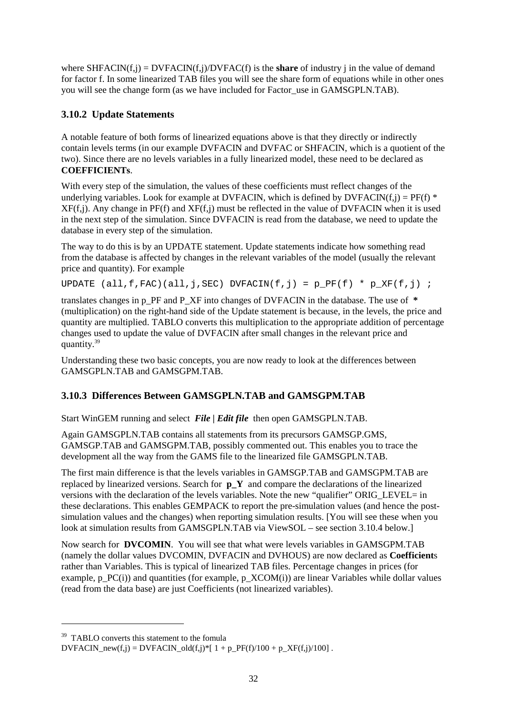where  $SHFACT(i, j) = DVFACIN(f, j) / DVFAC(f)$  is the **share** of industry j in the value of demand for factor f. In some linearized TAB files you will see the share form of equations while in other ones you will see the change form (as we have included for Factor use in GAMSGPLN.TAB).

#### **3.10.2 Update Statements**

A notable feature of both forms of linearized equations above is that they directly or indirectly contain levels terms (in our example DVFACIN and DVFAC or SHFACIN, which is a quotient of the two). Since there are no levels variables in a fully linearized model, these need to be declared as **COEFFICIENTs**.

With every step of the simulation, the values of these coefficients must reflect changes of the underlying variables. Look for example at DVFACIN, which is defined by DVFACIN(f,j) =  $PF(f)$  \*  $XF(f, j)$ . Any change in  $PF(f)$  and  $XF(f, j)$  must be reflected in the value of DVFACIN when it is used in the next step of the simulation. Since DVFACIN is read from the database, we need to update the database in every step of the simulation.

The way to do this is by an UPDATE statement. Update statements indicate how something read from the database is affected by changes in the relevant variables of the model (usually the relevant price and quantity). For example

UPDATE  $(all, f, FAC) (all, j, SEC) DVFACIN(f, j) = p_PF(f) * p_KF(f, j)$ ;

translates changes in p\_PF and P\_XF into changes of DVFACIN in the database. The use of **\*** (multiplication) on the right-hand side of the Update statement is because, in the levels, the price and quantity are multiplied. TABLO converts this multiplication to the appropriate addition of percentage changes used to update the value of DVFACIN after small changes in the relevant price and quantity.39

Understanding these two basic concepts, you are now ready to look at the differences between GAMSGPLN.TAB and GAMSGPM.TAB.

# **3.10.3 Differences Between GAMSGPLN.TAB and GAMSGPM.TAB**

Start WinGEM running and select *File | Edit file* then open GAMSGPLN.TAB.

Again GAMSGPLN.TAB contains all statements from its precursors GAMSGP.GMS, GAMSGP.TAB and GAMSGPM.TAB, possibly commented out. This enables you to trace the development all the way from the GAMS file to the linearized file GAMSGPLN.TAB.

The first main difference is that the levels variables in GAMSGP.TAB and GAMSGPM.TAB are replaced by linearized versions. Search for **p\_Y** and compare the declarations of the linearized versions with the declaration of the levels variables. Note the new "qualifier" ORIG\_LEVEL= in these declarations. This enables GEMPACK to report the pre-simulation values (and hence the postsimulation values and the changes) when reporting simulation results. [You will see these when you look at simulation results from GAMSGPLN.TAB via ViewSOL – see section 3.10.4 below.]

Now search for **DVCOMIN**. You will see that what were levels variables in GAMSGPM.TAB (namely the dollar values DVCOMIN, DVFACIN and DVHOUS) are now declared as **Coefficient**s rather than Variables. This is typical of linearized TAB files. Percentage changes in prices (for example, p\_PC(i)) and quantities (for example, p\_XCOM(i)) are linear Variables while dollar values (read from the data base) are just Coefficients (not linearized variables).

 $\ddot{\phantom{a}}$ 

<sup>&</sup>lt;sup>39</sup> TABLO converts this statement to the fomula

DVFACIN\_new(f,j) = DVFACIN\_old(f,j)\*[  $1 + p$ \_PF(f)/100 + p\_XF(f,j)/100].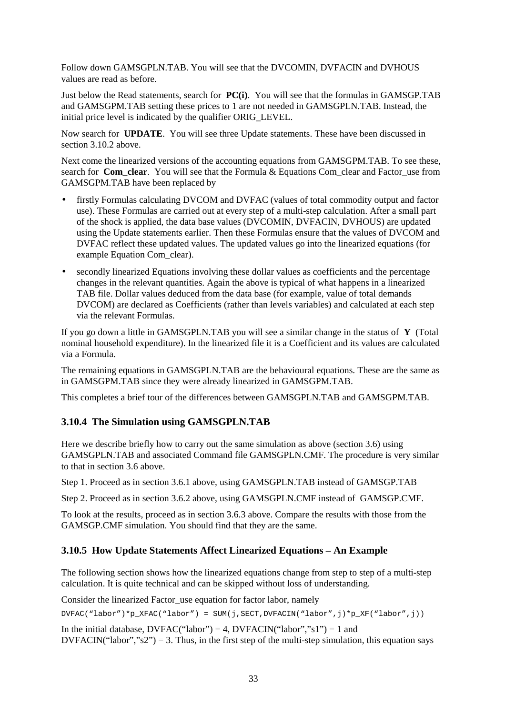Follow down GAMSGPLN.TAB. You will see that the DVCOMIN, DVFACIN and DVHOUS values are read as before.

Just below the Read statements, search for **PC(i)**. You will see that the formulas in GAMSGP.TAB and GAMSGPM.TAB setting these prices to 1 are not needed in GAMSGPLN.TAB. Instead, the initial price level is indicated by the qualifier ORIG\_LEVEL.

Now search for **UPDATE**. You will see three Update statements. These have been discussed in section 3.10.2 above.

Next come the linearized versions of the accounting equations from GAMSGPM.TAB. To see these, search for **Com** clear. You will see that the Formula & Equations Com clear and Factor use from GAMSGPM.TAB have been replaced by

- firstly Formulas calculating DVCOM and DVFAC (values of total commodity output and factor use). These Formulas are carried out at every step of a multi-step calculation. After a small part of the shock is applied, the data base values (DVCOMIN, DVFACIN, DVHOUS) are updated using the Update statements earlier. Then these Formulas ensure that the values of DVCOM and DVFAC reflect these updated values. The updated values go into the linearized equations (for example Equation Com\_clear).
- secondly linearized Equations involving these dollar values as coefficients and the percentage changes in the relevant quantities. Again the above is typical of what happens in a linearized TAB file. Dollar values deduced from the data base (for example, value of total demands DVCOM) are declared as Coefficients (rather than levels variables) and calculated at each step via the relevant Formulas.

If you go down a little in GAMSGPLN.TAB you will see a similar change in the status of **Y** (Total nominal household expenditure). In the linearized file it is a Coefficient and its values are calculated via a Formula.

The remaining equations in GAMSGPLN.TAB are the behavioural equations. These are the same as in GAMSGPM.TAB since they were already linearized in GAMSGPM.TAB.

This completes a brief tour of the differences between GAMSGPLN.TAB and GAMSGPM.TAB.

#### **3.10.4 The Simulation using GAMSGPLN.TAB**

Here we describe briefly how to carry out the same simulation as above (section 3.6) using GAMSGPLN.TAB and associated Command file GAMSGPLN.CMF. The procedure is very similar to that in section 3.6 above.

Step 1. Proceed as in section 3.6.1 above, using GAMSGPLN.TAB instead of GAMSGP.TAB

Step 2. Proceed as in section 3.6.2 above, using GAMSGPLN.CMF instead of GAMSGP.CMF.

To look at the results, proceed as in section 3.6.3 above. Compare the results with those from the GAMSGP.CMF simulation. You should find that they are the same.

#### **3.10.5 How Update Statements Affect Linearized Equations – An Example**

The following section shows how the linearized equations change from step to step of a multi-step calculation. It is quite technical and can be skipped without loss of understanding.

Consider the linearized Factor use equation for factor labor, namely

DVFAC("labor")\*p\_XFAC("labor") = SUM(j,SECT,DVFACIN("labor",j)\*p\_XF("labor",j))

In the initial database,  $DVFAC("labor") = 4$ ,  $DVFACIN("labor", "s1") = 1$  and  $DVFACIN("labor", "s2") = 3$ . Thus, in the first step of the multi-step simulation, this equation says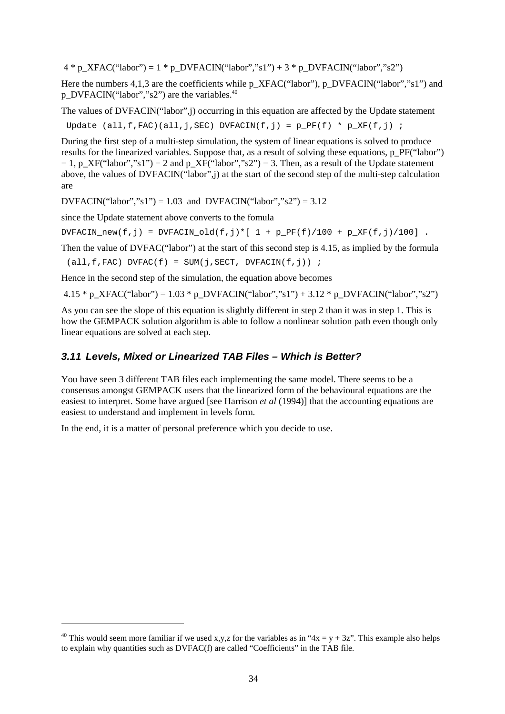$4 * p_XFAC("labor") = 1 * p_DVFACIN("labor", "s1") + 3 * p_DVFACIN("labor", "s2")$ 

Here the numbers 4,1,3 are the coefficients while p\_XFAC("labor"), p\_DVFACIN("labor","s1") and p\_DVFACIN("labor","s2") are the variables.<sup>40</sup>

The values of DVFACIN("labor",j) occurring in this equation are affected by the Update statement

Update (all,f,FAC)(all,j,SEC) DVFACIN(f,j) =  $p_PF(f) * p_XF(f,j)$ ;

During the first step of a multi-step simulation, the system of linear equations is solved to produce results for the linearized variables. Suppose that, as a result of solving these equations, p\_PF("labor")  $= 1$ , p XF("labor","s1") = 2 and p XF("labor","s2") = 3. Then, as a result of the Update statement above, the values of DVFACIN("labor",j) at the start of the second step of the multi-step calculation are

 $DVFACIN("labor", "s1") = 1.03$  and  $DVFACIN("labor", "s2") = 3.12$ 

since the Update statement above converts to the fomula

 $DVFACIN\_new(f,j) = DVFACIN\_old(f,j)*[ 1 + p\_PF(f)/100 + p\_XF(f,j)/100].$ 

Then the value of DVFAC("labor") at the start of this second step is 4.15, as implied by the formula

 $(all, f, FAC) DVFAC(f) = SUM(j, SECT, DVFACIN(f,j))$  ;

Hence in the second step of the simulation, the equation above becomes

4.15 \* p\_XFAC("labor") = 1.03 \* p\_DVFACIN("labor","s1") + 3.12 \* p\_DVFACIN("labor","s2")

As you can see the slope of this equation is slightly different in step 2 than it was in step 1. This is how the GEMPACK solution algorithm is able to follow a nonlinear solution path even though only linear equations are solved at each step.

#### **3.11 Levels, Mixed or Linearized TAB Files – Which is Better?**

You have seen 3 different TAB files each implementing the same model. There seems to be a consensus amongst GEMPACK users that the linearized form of the behavioural equations are the easiest to interpret. Some have argued [see Harrison *et al* (1994)] that the accounting equations are easiest to understand and implement in levels form.

In the end, it is a matter of personal preference which you decide to use.

 $\ddot{\phantom{a}}$ 

<sup>&</sup>lt;sup>40</sup> This would seem more familiar if we used x,y,z for the variables as in "4x = y + 3z". This example also helps to explain why quantities such as DVFAC(f) are called "Coefficients" in the TAB file.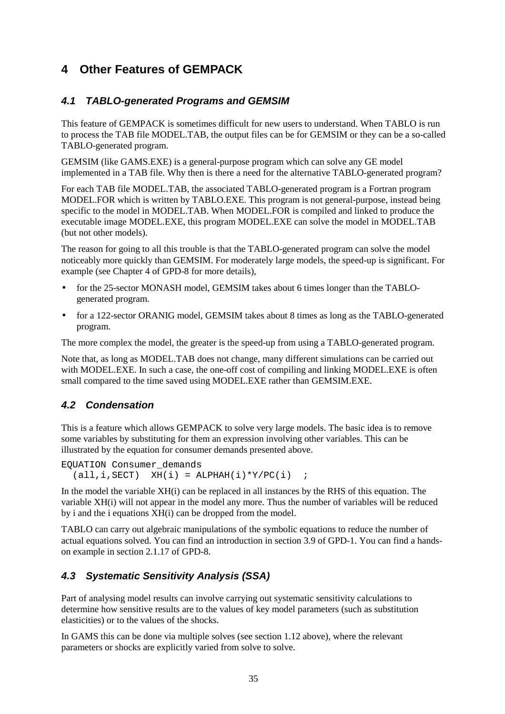# **4 Other Features of GEMPACK**

# **4.1 TABLO-generated Programs and GEMSIM**

This feature of GEMPACK is sometimes difficult for new users to understand. When TABLO is run to process the TAB file MODEL.TAB, the output files can be for GEMSIM or they can be a so-called TABLO-generated program.

GEMSIM (like GAMS.EXE) is a general-purpose program which can solve any GE model implemented in a TAB file. Why then is there a need for the alternative TABLO-generated program?

For each TAB file MODEL.TAB, the associated TABLO-generated program is a Fortran program MODEL.FOR which is written by TABLO.EXE. This program is not general-purpose, instead being specific to the model in MODEL.TAB. When MODEL.FOR is compiled and linked to produce the executable image MODEL.EXE, this program MODEL.EXE can solve the model in MODEL.TAB (but not other models).

The reason for going to all this trouble is that the TABLO-generated program can solve the model noticeably more quickly than GEMSIM. For moderately large models, the speed-up is significant. For example (see Chapter 4 of GPD-8 for more details),

- for the 25-sector MONASH model, GEMSIM takes about 6 times longer than the TABLOgenerated program.
- for a 122-sector ORANIG model, GEMSIM takes about 8 times as long as the TABLO-generated program.

The more complex the model, the greater is the speed-up from using a TABLO-generated program.

Note that, as long as MODEL.TAB does not change, many different simulations can be carried out with MODEL.EXE. In such a case, the one-off cost of compiling and linking MODEL.EXE is often small compared to the time saved using MODEL.EXE rather than GEMSIM.EXE.

# **4.2 Condensation**

This is a feature which allows GEMPACK to solve very large models. The basic idea is to remove some variables by substituting for them an expression involving other variables. This can be illustrated by the equation for consumer demands presented above.

```
EQUATION Consumer_demands
   (\text{all}, i, \text{SECTION}) XH(i) = \text{ALPHAH}(i) * Y/PC(i) ;
```
In the model the variable XH(i) can be replaced in all instances by the RHS of this equation. The variable XH(i) will not appear in the model any more. Thus the number of variables will be reduced by i and the i equations XH(i) can be dropped from the model.

TABLO can carry out algebraic manipulations of the symbolic equations to reduce the number of actual equations solved. You can find an introduction in section 3.9 of GPD-1. You can find a handson example in section 2.1.17 of GPD-8.

# **4.3 Systematic Sensitivity Analysis (SSA)**

Part of analysing model results can involve carrying out systematic sensitivity calculations to determine how sensitive results are to the values of key model parameters (such as substitution elasticities) or to the values of the shocks.

In GAMS this can be done via multiple solves (see section 1.12 above), where the relevant parameters or shocks are explicitly varied from solve to solve.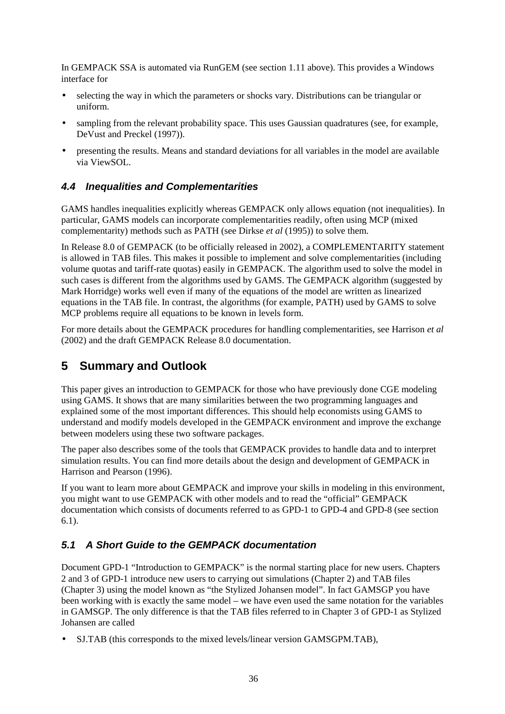In GEMPACK SSA is automated via RunGEM (see section 1.11 above). This provides a Windows interface for

- selecting the way in which the parameters or shocks vary. Distributions can be triangular or uniform.
- sampling from the relevant probability space. This uses Gaussian quadratures (see, for example, DeVust and Preckel (1997)).
- presenting the results. Means and standard deviations for all variables in the model are available via ViewSOL.

# **4.4 Inequalities and Complementarities**

GAMS handles inequalities explicitly whereas GEMPACK only allows equation (not inequalities). In particular, GAMS models can incorporate complementarities readily, often using MCP (mixed complementarity) methods such as PATH (see Dirkse *et al* (1995)) to solve them.

In Release 8.0 of GEMPACK (to be officially released in 2002), a COMPLEMENTARITY statement is allowed in TAB files. This makes it possible to implement and solve complementarities (including volume quotas and tariff-rate quotas) easily in GEMPACK. The algorithm used to solve the model in such cases is different from the algorithms used by GAMS. The GEMPACK algorithm (suggested by Mark Horridge) works well even if many of the equations of the model are written as linearized equations in the TAB file. In contrast, the algorithms (for example, PATH) used by GAMS to solve MCP problems require all equations to be known in levels form.

For more details about the GEMPACK procedures for handling complementarities, see Harrison *et al* (2002) and the draft GEMPACK Release 8.0 documentation.

# **5 Summary and Outlook**

This paper gives an introduction to GEMPACK for those who have previously done CGE modeling using GAMS. It shows that are many similarities between the two programming languages and explained some of the most important differences. This should help economists using GAMS to understand and modify models developed in the GEMPACK environment and improve the exchange between modelers using these two software packages.

The paper also describes some of the tools that GEMPACK provides to handle data and to interpret simulation results. You can find more details about the design and development of GEMPACK in Harrison and Pearson (1996).

If you want to learn more about GEMPACK and improve your skills in modeling in this environment, you might want to use GEMPACK with other models and to read the "official" GEMPACK documentation which consists of documents referred to as GPD-1 to GPD-4 and GPD-8 (see section 6.1).

# **5.1 A Short Guide to the GEMPACK documentation**

Document GPD-1 "Introduction to GEMPACK" is the normal starting place for new users. Chapters 2 and 3 of GPD-1 introduce new users to carrying out simulations (Chapter 2) and TAB files (Chapter 3) using the model known as "the Stylized Johansen model". In fact GAMSGP you have been working with is exactly the same model – we have even used the same notation for the variables in GAMSGP. The only difference is that the TAB files referred to in Chapter 3 of GPD-1 as Stylized Johansen are called

• SJ.TAB (this corresponds to the mixed levels/linear version GAMSGPM.TAB),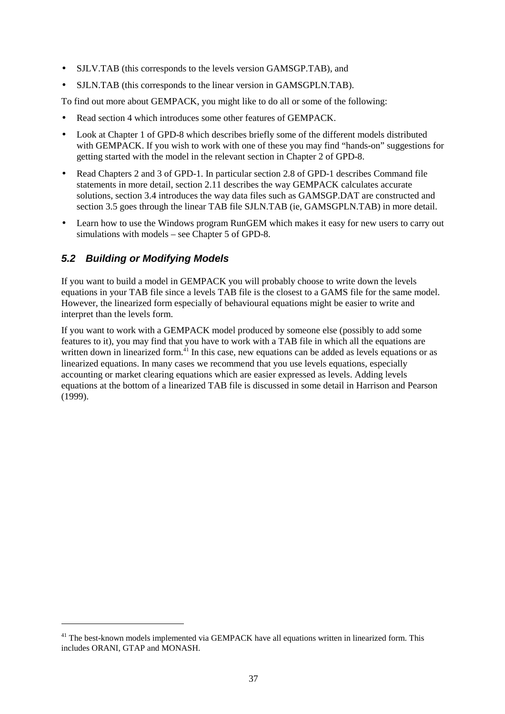- SJLV.TAB (this corresponds to the levels version GAMSGP.TAB), and
- SJLN.TAB (this corresponds to the linear version in GAMSGPLN.TAB).

To find out more about GEMPACK, you might like to do all or some of the following:

- Read section 4 which introduces some other features of GEMPACK.
- Look at Chapter 1 of GPD-8 which describes briefly some of the different models distributed with GEMPACK. If you wish to work with one of these you may find "hands-on" suggestions for getting started with the model in the relevant section in Chapter 2 of GPD-8.
- Read Chapters 2 and 3 of GPD-1. In particular section 2.8 of GPD-1 describes Command file statements in more detail, section 2.11 describes the way GEMPACK calculates accurate solutions, section 3.4 introduces the way data files such as GAMSGP.DAT are constructed and section 3.5 goes through the linear TAB file SJLN.TAB (ie, GAMSGPLN.TAB) in more detail.
- Learn how to use the Windows program RunGEM which makes it easy for new users to carry out simulations with models – see Chapter 5 of GPD-8.

# **5.2 Building or Modifying Models**

 $\ddot{\phantom{a}}$ 

If you want to build a model in GEMPACK you will probably choose to write down the levels equations in your TAB file since a levels TAB file is the closest to a GAMS file for the same model. However, the linearized form especially of behavioural equations might be easier to write and interpret than the levels form.

If you want to work with a GEMPACK model produced by someone else (possibly to add some features to it), you may find that you have to work with a TAB file in which all the equations are written down in linearized form.<sup>41</sup> In this case, new equations can be added as levels equations or as linearized equations. In many cases we recommend that you use levels equations, especially accounting or market clearing equations which are easier expressed as levels. Adding levels equations at the bottom of a linearized TAB file is discussed in some detail in Harrison and Pearson (1999).

<sup>&</sup>lt;sup>41</sup> The best-known models implemented via GEMPACK have all equations written in linearized form. This includes ORANI, GTAP and MONASH.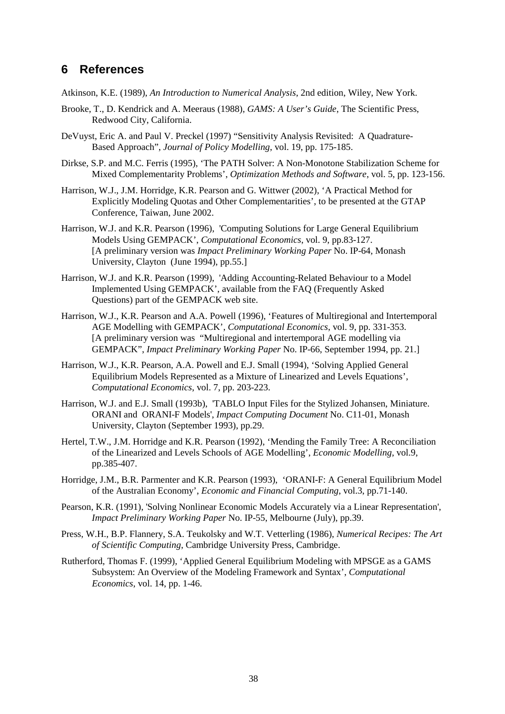# **6 References**

Atkinson, K.E. (1989), *An Introduction to Numerical Analysis*, 2nd edition, Wiley, New York.

- Brooke, T., D. Kendrick and A. Meeraus (1988), *GAMS: A User's Guide*, The Scientific Press, Redwood City, California.
- DeVuyst, Eric A. and Paul V. Preckel (1997) "Sensitivity Analysis Revisited: A Quadrature-Based Approach", *Journal of Policy Modelling*, vol. 19, pp. 175-185.
- Dirkse, S.P. and M.C. Ferris (1995), 'The PATH Solver: A Non-Monotone Stabilization Scheme for Mixed Complementarity Problems', *Optimization Methods and Software*, vol. 5, pp. 123-156.
- Harrison, W.J., J.M. Horridge, K.R. Pearson and G. Wittwer (2002), 'A Practical Method for Explicitly Modeling Quotas and Other Complementarities', to be presented at the GTAP Conference, Taiwan, June 2002.
- Harrison, W.J. and K.R. Pearson (1996), 'Computing Solutions for Large General Equilibrium Models Using GEMPACK', *Computational Economics*, vol. 9, pp.83-127. [A preliminary version was *Impact Preliminary Working Paper* No. IP-64, Monash University, Clayton (June 1994), pp.55.]
- Harrison, W.J. and K.R. Pearson (1999), 'Adding Accounting-Related Behaviour to a Model Implemented Using GEMPACK', available from the FAQ (Frequently Asked Questions) part of the GEMPACK web site.
- Harrison, W.J., K.R. Pearson and A.A. Powell (1996), 'Features of Multiregional and Intertemporal AGE Modelling with GEMPACK', *Computational Economics*, vol. 9, pp. 331-353. [A preliminary version was "Multiregional and intertemporal AGE modelling via GEMPACK", *Impact Preliminary Working Paper* No. IP-66, September 1994, pp. 21.]
- Harrison, W.J., K.R. Pearson, A.A. Powell and E.J. Small (1994), 'Solving Applied General Equilibrium Models Represented as a Mixture of Linearized and Levels Equations', *Computational Economics*, vol. 7, pp. 203-223.
- Harrison, W.J. and E.J. Small (1993b), 'TABLO Input Files for the Stylized Johansen, Miniature. ORANI and ORANI-F Models', *Impact Computing Document* No. C11-01, Monash University, Clayton (September 1993), pp.29.
- Hertel, T.W., J.M. Horridge and K.R. Pearson (1992), 'Mending the Family Tree: A Reconciliation of the Linearized and Levels Schools of AGE Modelling', *Economic Modelling*, vol.9, pp.385-407.
- Horridge, J.M., B.R. Parmenter and K.R. Pearson (1993), 'ORANI-F: A General Equilibrium Model of the Australian Economy', *Economic and Financial Computing*, vol.3, pp.71-140.
- Pearson, K.R. (1991), 'Solving Nonlinear Economic Models Accurately via a Linear Representation', *Impact Preliminary Working Paper* No. IP-55, Melbourne (July), pp.39.
- Press, W.H., B.P. Flannery, S.A. Teukolsky and W.T. Vetterling (1986), *Numerical Recipes: The Art of Scientific Computing*, Cambridge University Press, Cambridge.
- Rutherford, Thomas F. (1999), 'Applied General Equilibrium Modeling with MPSGE as a GAMS Subsystem: An Overview of the Modeling Framework and Syntax', *Computational Economics*, vol. 14, pp. 1-46.